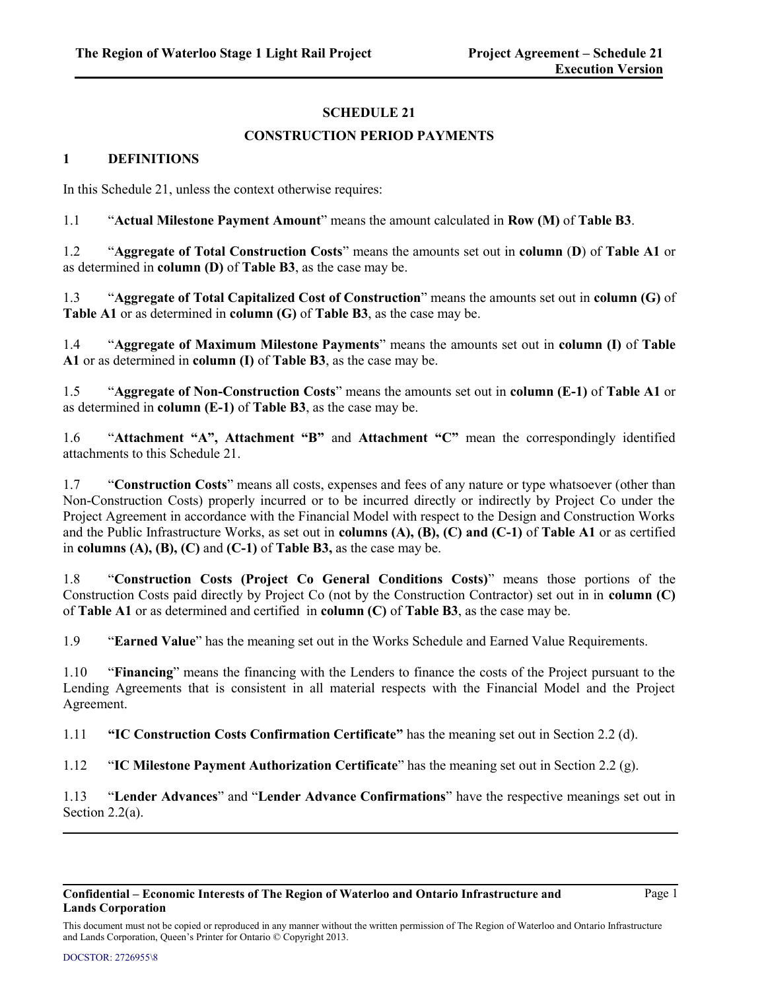# **SCHEDULE 21**

# **CONSTRUCTION PERIOD PAYMENTS**

## **1 DEFINITIONS**

In this Schedule 21, unless the context otherwise requires:

1.1 "**Actual Milestone Payment Amount**" means the amount calculated in **Row (M)** of **Table B3**.

1.2 "**Aggregate of Total Construction Costs**" means the amounts set out in **column** (**D**) of **Table A1** or as determined in **column (D)** of **Table B3**, as the case may be.

1.3 "**Aggregate of Total Capitalized Cost of Construction**" means the amounts set out in **column (G)** of **Table A1** or as determined in **column (G)** of **Table B3**, as the case may be.

1.4 "**Aggregate of Maximum Milestone Payments**" means the amounts set out in **column (I)** of **Table A1** or as determined in **column (I)** of **Table B3**, as the case may be.

1.5 "**Aggregate of Non-Construction Costs**" means the amounts set out in **column (E-1)** of **Table A1** or as determined in **column (E-1)** of **Table B3**, as the case may be.

1.6 "**Attachment "A", Attachment "B"** and **Attachment "C"** mean the correspondingly identified attachments to this Schedule 21.

1.7 "**Construction Costs**" means all costs, expenses and fees of any nature or type whatsoever (other than Non-Construction Costs) properly incurred or to be incurred directly or indirectly by Project Co under the Project Agreement in accordance with the Financial Model with respect to the Design and Construction Works and the Public Infrastructure Works, as set out in **columns (A), (B), (C) and (C-1)** of **Table A1** or as certified in **columns (A), (B), (C)** and **(C-1)** of **Table B3,** as the case may be.

1.8 "**Construction Costs (Project Co General Conditions Costs)**" means those portions of the Construction Costs paid directly by Project Co (not by the Construction Contractor) set out in in **column (C)** of **Table A1** or as determined and certified in **column (C)** of **Table B3**, as the case may be.

1.9 "**Earned Value**" has the meaning set out in the Works Schedule and Earned Value Requirements.

1.10 "**Financing**" means the financing with the Lenders to finance the costs of the Project pursuant to the Lending Agreements that is consistent in all material respects with the Financial Model and the Project Agreement.

1.11 **"IC Construction Costs Confirmation Certificate"** has the meaning set out in Section 2.2 (d).

1.12 "**IC Milestone Payment Authorization Certificate**" has the meaning set out in Section 2.2 (g).

1.13 "**Lender Advances**" and "**Lender Advance Confirmations**" have the respective meanings set out in Section 2.2(a).

#### **Confidential – Economic Interests of The Region of Waterloo and Ontario Infrastructure and Lands Corporation**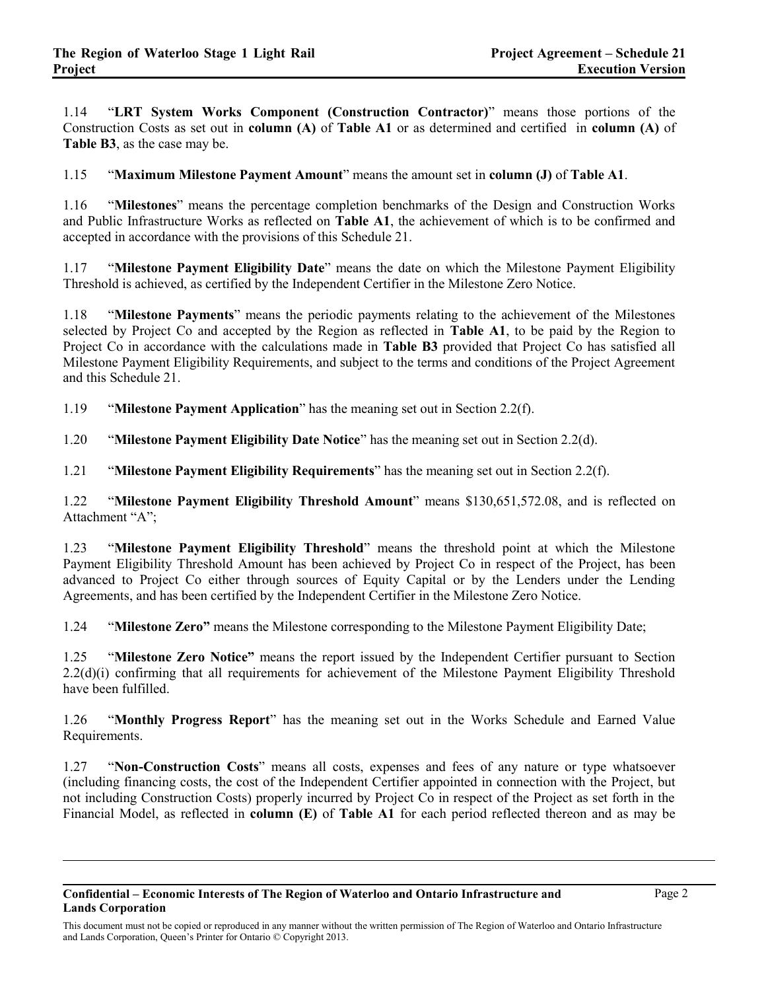1.14 "**LRT System Works Component (Construction Contractor)**" means those portions of the Construction Costs as set out in **column (A)** of **Table A1** or as determined and certified in **column (A)** of **Table B3**, as the case may be.

1.15 "**Maximum Milestone Payment Amount**" means the amount set in **column (J)** of **Table A1**.

1.16 "**Milestones**" means the percentage completion benchmarks of the Design and Construction Works and Public Infrastructure Works as reflected on **Table A1**, the achievement of which is to be confirmed and accepted in accordance with the provisions of this Schedule 21.

1.17 "**Milestone Payment Eligibility Date**" means the date on which the Milestone Payment Eligibility Threshold is achieved, as certified by the Independent Certifier in the Milestone Zero Notice.

1.18 "**Milestone Payments**" means the periodic payments relating to the achievement of the Milestones selected by Project Co and accepted by the Region as reflected in **Table A1**, to be paid by the Region to Project Co in accordance with the calculations made in **Table B3** provided that Project Co has satisfied all Milestone Payment Eligibility Requirements, and subject to the terms and conditions of the Project Agreement and this Schedule 21.

1.19 "**Milestone Payment Application**" has the meaning set out in Section 2.2(f).

1.20 "**Milestone Payment Eligibility Date Notice**" has the meaning set out in Section 2.2(d).

1.21 "**Milestone Payment Eligibility Requirements**" has the meaning set out in Section 2.2(f).

1.22 "**Milestone Payment Eligibility Threshold Amount**" means \$130,651,572.08, and is reflected on Attachment "A";

1.23 "**Milestone Payment Eligibility Threshold**" means the threshold point at which the Milestone Payment Eligibility Threshold Amount has been achieved by Project Co in respect of the Project, has been advanced to Project Co either through sources of Equity Capital or by the Lenders under the Lending Agreements, and has been certified by the Independent Certifier in the Milestone Zero Notice.

1.24 "**Milestone Zero"** means the Milestone corresponding to the Milestone Payment Eligibility Date;

1.25 "**Milestone Zero Notice"** means the report issued by the Independent Certifier pursuant to Section 2.2(d)(i) confirming that all requirements for achievement of the Milestone Payment Eligibility Threshold have been fulfilled.

1.26 "**Monthly Progress Report**" has the meaning set out in the Works Schedule and Earned Value Requirements.

1.27 "**Non-Construction Costs**" means all costs, expenses and fees of any nature or type whatsoever (including financing costs, the cost of the Independent Certifier appointed in connection with the Project, but not including Construction Costs) properly incurred by Project Co in respect of the Project as set forth in the Financial Model, as reflected in **column (E)** of **Table A1** for each period reflected thereon and as may be

This document must not be copied or reproduced in any manner without the written permission of The Region of Waterloo and Ontario Infrastructure and Lands Corporation, Queen's Printer for Ontario © Copyright 2013.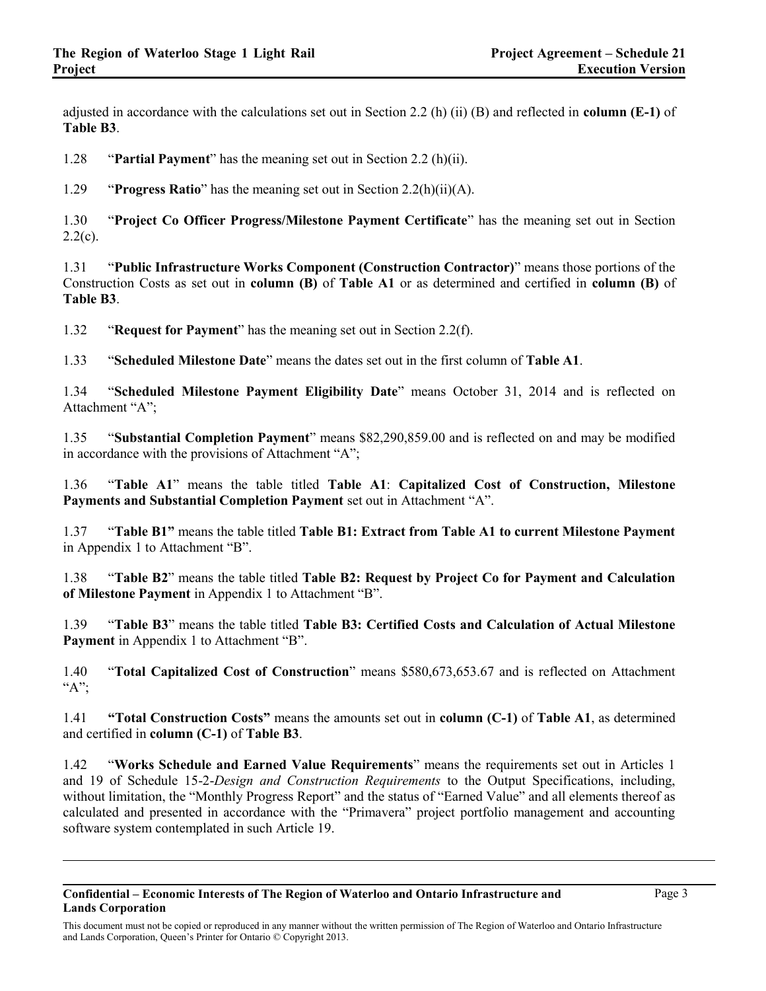adjusted in accordance with the calculations set out in Section 2.2 (h) (ii) (B) and reflected in **column (E-1)** of **Table B3**.

1.28 "**Partial Payment**" has the meaning set out in Section 2.2 (h)(ii).

1.29 "**Progress Ratio**" has the meaning set out in Section 2.2(h)(ii)(A).

1.30 "**Project Co Officer Progress/Milestone Payment Certificate**" has the meaning set out in Section  $2.2(c)$ .

1.31 "**Public Infrastructure Works Component (Construction Contractor)**" means those portions of the Construction Costs as set out in **column (B)** of **Table A1** or as determined and certified in **column (B)** of **Table B3**.

1.32 "**Request for Payment**" has the meaning set out in Section 2.2(f).

1.33 "**Scheduled Milestone Date**" means the dates set out in the first column of **Table A1**.

1.34 "**Scheduled Milestone Payment Eligibility Date**" means October 31, 2014 and is reflected on Attachment "A";

1.35 "**Substantial Completion Payment**" means \$82,290,859.00 and is reflected on and may be modified in accordance with the provisions of Attachment "A";

1.36 "**Table A1**" means the table titled **Table A1**: **Capitalized Cost of Construction, Milestone Payments and Substantial Completion Payment** set out in Attachment "A".

1.37 "**Table B1"** means the table titled **Table B1: Extract from Table A1 to current Milestone Payment**  in Appendix 1 to Attachment "B".

1.38 "**Table B2**" means the table titled **Table B2: Request by Project Co for Payment and Calculation of Milestone Payment** in Appendix 1 to Attachment "B".

1.39 "**Table B3**" means the table titled **Table B3: Certified Costs and Calculation of Actual Milestone Payment** in Appendix 1 to Attachment "B".

1.40 "**Total Capitalized Cost of Construction**" means \$580,673,653.67 and is reflected on Attachment "A";

1.41 **"Total Construction Costs"** means the amounts set out in **column (C-1)** of **Table A1**, as determined and certified in **column (C-1)** of **Table B3**.

1.42 "**Works Schedule and Earned Value Requirements**" means the requirements set out in Articles 1 and 19 of Schedule 15-2-*Design and Construction Requirements* to the Output Specifications, including, without limitation, the "Monthly Progress Report" and the status of "Earned Value" and all elements thereof as calculated and presented in accordance with the "Primavera" project portfolio management and accounting software system contemplated in such Article 19.

This document must not be copied or reproduced in any manner without the written permission of The Region of Waterloo and Ontario Infrastructure and Lands Corporation, Queen's Printer for Ontario © Copyright 2013.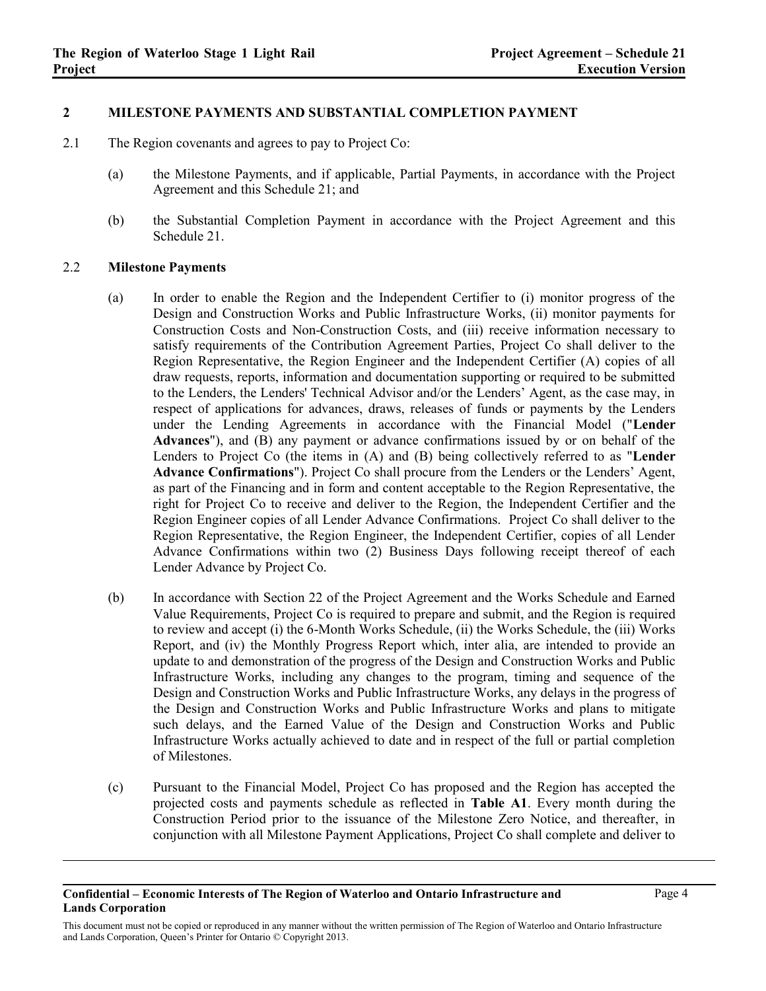## **2 MILESTONE PAYMENTS AND SUBSTANTIAL COMPLETION PAYMENT**

- 2.1 The Region covenants and agrees to pay to Project Co:
	- (a) the Milestone Payments, and if applicable, Partial Payments, in accordance with the Project Agreement and this Schedule 21; and
	- (b) the Substantial Completion Payment in accordance with the Project Agreement and this Schedule 21.

## 2.2 **Milestone Payments**

- (a) In order to enable the Region and the Independent Certifier to (i) monitor progress of the Design and Construction Works and Public Infrastructure Works, (ii) monitor payments for Construction Costs and Non-Construction Costs, and (iii) receive information necessary to satisfy requirements of the Contribution Agreement Parties, Project Co shall deliver to the Region Representative, the Region Engineer and the Independent Certifier (A) copies of all draw requests, reports, information and documentation supporting or required to be submitted to the Lenders, the Lenders' Technical Advisor and/or the Lenders' Agent, as the case may, in respect of applications for advances, draws, releases of funds or payments by the Lenders under the Lending Agreements in accordance with the Financial Model ("**Lender Advances**"), and (B) any payment or advance confirmations issued by or on behalf of the Lenders to Project Co (the items in (A) and (B) being collectively referred to as "**Lender Advance Confirmations**"). Project Co shall procure from the Lenders or the Lenders' Agent, as part of the Financing and in form and content acceptable to the Region Representative, the right for Project Co to receive and deliver to the Region, the Independent Certifier and the Region Engineer copies of all Lender Advance Confirmations. Project Co shall deliver to the Region Representative, the Region Engineer, the Independent Certifier, copies of all Lender Advance Confirmations within two (2) Business Days following receipt thereof of each Lender Advance by Project Co.
- (b) In accordance with Section 22 of the Project Agreement and the Works Schedule and Earned Value Requirements, Project Co is required to prepare and submit, and the Region is required to review and accept (i) the 6-Month Works Schedule, (ii) the Works Schedule, the (iii) Works Report, and (iv) the Monthly Progress Report which, inter alia, are intended to provide an update to and demonstration of the progress of the Design and Construction Works and Public Infrastructure Works, including any changes to the program, timing and sequence of the Design and Construction Works and Public Infrastructure Works, any delays in the progress of the Design and Construction Works and Public Infrastructure Works and plans to mitigate such delays, and the Earned Value of the Design and Construction Works and Public Infrastructure Works actually achieved to date and in respect of the full or partial completion of Milestones.
- <span id="page-3-0"></span>(c) Pursuant to the Financial Model, Project Co has proposed and the Region has accepted the projected costs and payments schedule as reflected in **Table A1**. Every month during the Construction Period prior to the issuance of the Milestone Zero Notice, and thereafter, in conjunction with all Milestone Payment Applications, Project Co shall complete and deliver to

This document must not be copied or reproduced in any manner without the written permission of The Region of Waterloo and Ontario Infrastructure and Lands Corporation, Queen's Printer for Ontario © Copyright 2013.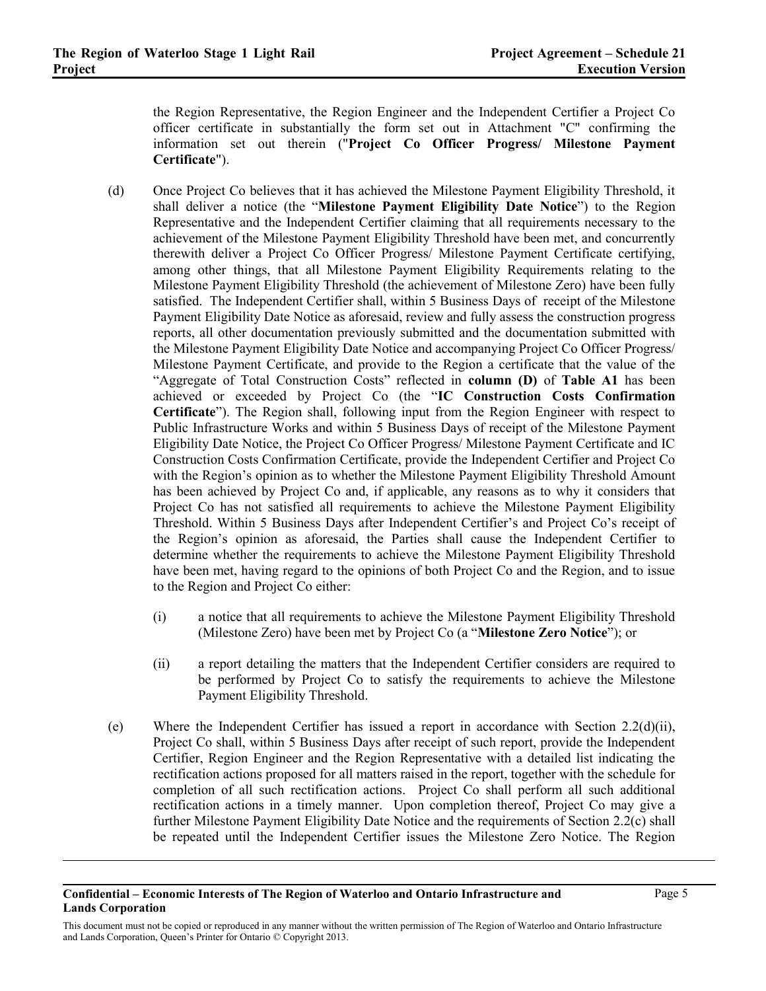the Region Representative, the Region Engineer and the Independent Certifier a Project Co officer certificate in substantially the form set out in Attachment "C" confirming the information set out therein ("**Project Co Officer Progress/ Milestone Payment Certificate**").

- (d) Once Project Co believes that it has achieved the Milestone Payment Eligibility Threshold, it shall deliver a notice (the "**Milestone Payment Eligibility Date Notice**") to the Region Representative and the Independent Certifier claiming that all requirements necessary to the achievement of the Milestone Payment Eligibility Threshold have been met, and concurrently therewith deliver a Project Co Officer Progress/ Milestone Payment Certificate certifying, among other things, that all Milestone Payment Eligibility Requirements relating to the Milestone Payment Eligibility Threshold (the achievement of Milestone Zero) have been fully satisfied. The Independent Certifier shall, within 5 Business Days of receipt of the Milestone Payment Eligibility Date Notice as aforesaid, review and fully assess the construction progress reports, all other documentation previously submitted and the documentation submitted with the Milestone Payment Eligibility Date Notice and accompanying Project Co Officer Progress/ Milestone Payment Certificate, and provide to the Region a certificate that the value of the "Aggregate of Total Construction Costs" reflected in **column (D)** of **Table A1** has been achieved or exceeded by Project Co (the "**IC Construction Costs Confirmation Certificate**"). The Region shall, following input from the Region Engineer with respect to Public Infrastructure Works and within 5 Business Days of receipt of the Milestone Payment Eligibility Date Notice, the Project Co Officer Progress/ Milestone Payment Certificate and IC Construction Costs Confirmation Certificate, provide the Independent Certifier and Project Co with the Region's opinion as to whether the Milestone Payment Eligibility Threshold Amount has been achieved by Project Co and, if applicable, any reasons as to why it considers that Project Co has not satisfied all requirements to achieve the Milestone Payment Eligibility Threshold. Within 5 Business Days after Independent Certifier's and Project Co's receipt of the Region's opinion as aforesaid, the Parties shall cause the Independent Certifier to determine whether the requirements to achieve the Milestone Payment Eligibility Threshold have been met, having regard to the opinions of both Project Co and the Region, and to issue to the Region and Project Co either:
	- (i) a notice that all requirements to achieve the Milestone Payment Eligibility Threshold (Milestone Zero) have been met by Project Co (a "**Milestone Zero Notice**"); or
	- (ii) a report detailing the matters that the Independent Certifier considers are required to be performed by Project Co to satisfy the requirements to achieve the Milestone Payment Eligibility Threshold.
- (e) Where the Independent Certifier has issued a report in accordance with Section 2.2(d)(ii), Project Co shall, within 5 Business Days after receipt of such report, provide the Independent Certifier, Region Engineer and the Region Representative with a detailed list indicating the rectification actions proposed for all matters raised in the report, together with the schedule for completion of all such rectification actions. Project Co shall perform all such additional rectification actions in a timely manner. Upon completion thereof, Project Co may give a further Milestone Payment Eligibility Date Notice and the requirements of Section [2.2\(c\)](#page-3-0) shall be repeated until the Independent Certifier issues the Milestone Zero Notice. The Region

This document must not be copied or reproduced in any manner without the written permission of The Region of Waterloo and Ontario Infrastructure and Lands Corporation, Queen's Printer for Ontario © Copyright 2013.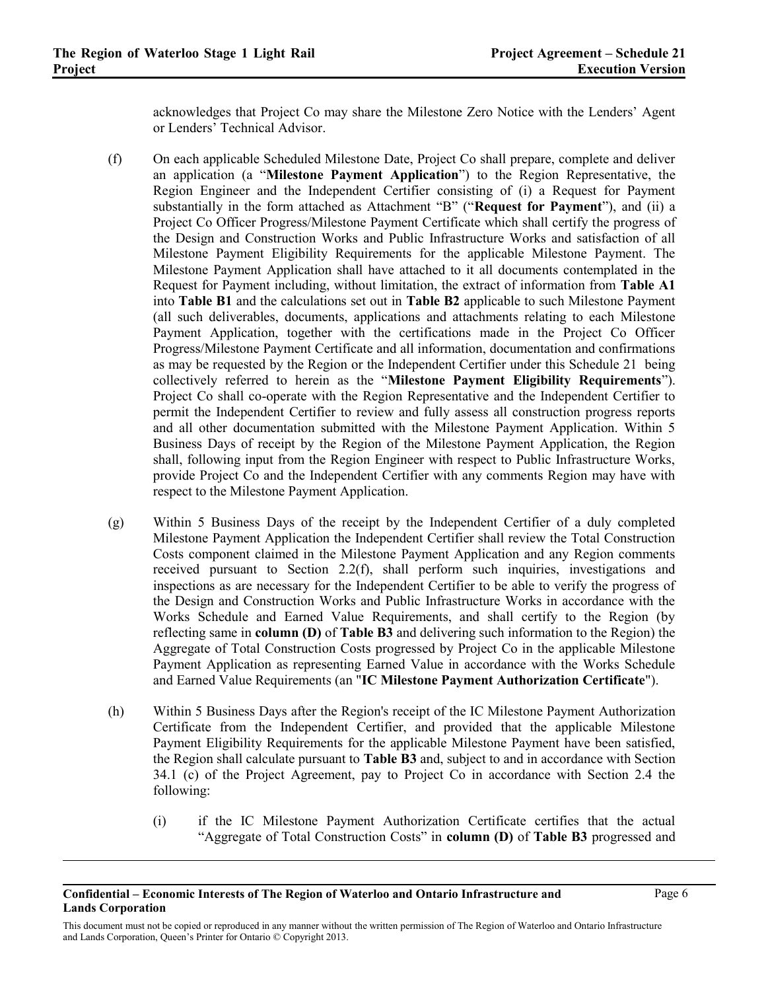acknowledges that Project Co may share the Milestone Zero Notice with the Lenders' Agent or Lenders' Technical Advisor.

- (f) On each applicable Scheduled Milestone Date, Project Co shall prepare, complete and deliver an application (a "**Milestone Payment Application**") to the Region Representative, the Region Engineer and the Independent Certifier consisting of (i) a Request for Payment substantially in the form attached as Attachment "B" ("**Request for Payment**"), and (ii) a Project Co Officer Progress/Milestone Payment Certificate which shall certify the progress of the Design and Construction Works and Public Infrastructure Works and satisfaction of all Milestone Payment Eligibility Requirements for the applicable Milestone Payment. The Milestone Payment Application shall have attached to it all documents contemplated in the Request for Payment including, without limitation, the extract of information from **Table A1** into **Table B1** and the calculations set out in **Table B2** applicable to such Milestone Payment (all such deliverables, documents, applications and attachments relating to each Milestone Payment Application, together with the certifications made in the Project Co Officer Progress/Milestone Payment Certificate and all information, documentation and confirmations as may be requested by the Region or the Independent Certifier under this Schedule 21 being collectively referred to herein as the "**Milestone Payment Eligibility Requirements**"). Project Co shall co-operate with the Region Representative and the Independent Certifier to permit the Independent Certifier to review and fully assess all construction progress reports and all other documentation submitted with the Milestone Payment Application. Within 5 Business Days of receipt by the Region of the Milestone Payment Application, the Region shall, following input from the Region Engineer with respect to Public Infrastructure Works, provide Project Co and the Independent Certifier with any comments Region may have with respect to the Milestone Payment Application.
- (g) Within 5 Business Days of the receipt by the Independent Certifier of a duly completed Milestone Payment Application the Independent Certifier shall review the Total Construction Costs component claimed in the Milestone Payment Application and any Region comments received pursuant to Section 2.2(f), shall perform such inquiries, investigations and inspections as are necessary for the Independent Certifier to be able to verify the progress of the Design and Construction Works and Public Infrastructure Works in accordance with the Works Schedule and Earned Value Requirements, and shall certify to the Region (by reflecting same in **column (D)** of **Table B3** and delivering such information to the Region) the Aggregate of Total Construction Costs progressed by Project Co in the applicable Milestone Payment Application as representing Earned Value in accordance with the Works Schedule and Earned Value Requirements (an "**IC Milestone Payment Authorization Certificate**").
- (h) Within 5 Business Days after the Region's receipt of the IC Milestone Payment Authorization Certificate from the Independent Certifier, and provided that the applicable Milestone Payment Eligibility Requirements for the applicable Milestone Payment have been satisfied, the Region shall calculate pursuant to **Table B3** and, subject to and in accordance with Section 34.1 (c) of the Project Agreement, pay to Project Co in accordance with Section 2.4 the following:
	- (i) if the IC Milestone Payment Authorization Certificate certifies that the actual "Aggregate of Total Construction Costs" in **column (D)** of **Table B3** progressed and

This document must not be copied or reproduced in any manner without the written permission of The Region of Waterloo and Ontario Infrastructure and Lands Corporation, Queen's Printer for Ontario © Copyright 2013.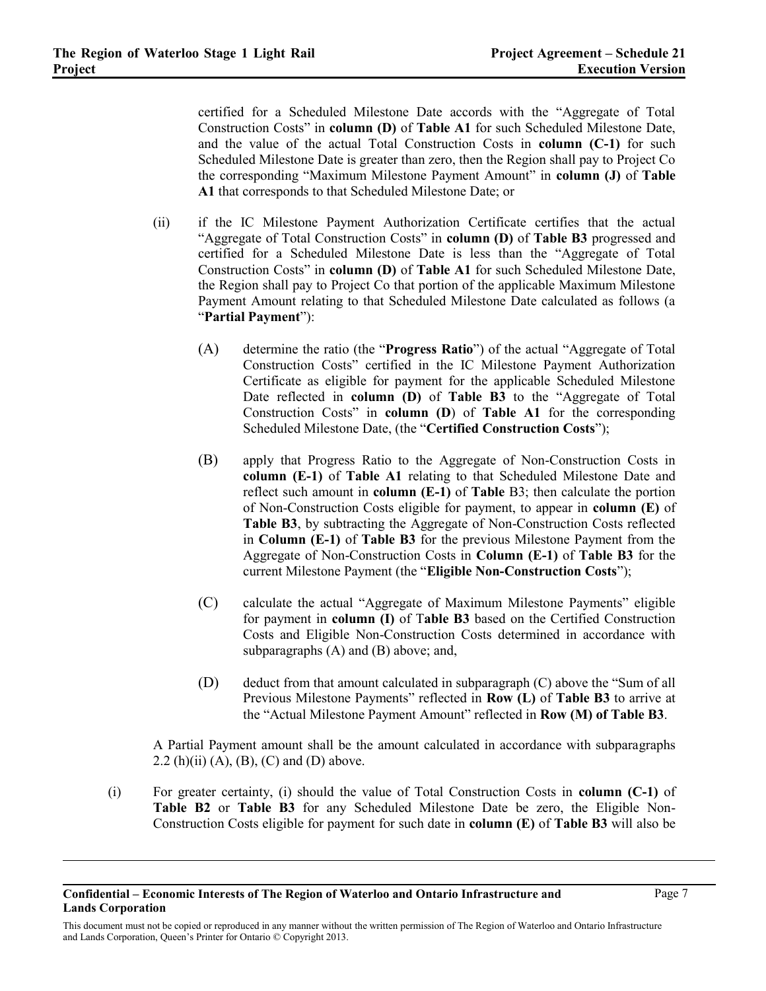certified for a Scheduled Milestone Date accords with the "Aggregate of Total Construction Costs" in **column (D)** of **Table A1** for such Scheduled Milestone Date, and the value of the actual Total Construction Costs in **column (C-1)** for such Scheduled Milestone Date is greater than zero, then the Region shall pay to Project Co the corresponding "Maximum Milestone Payment Amount" in **column (J)** of **Table A1** that corresponds to that Scheduled Milestone Date; or

- (ii) if the IC Milestone Payment Authorization Certificate certifies that the actual "Aggregate of Total Construction Costs" in **column (D)** of **Table B3** progressed and certified for a Scheduled Milestone Date is less than the "Aggregate of Total Construction Costs" in **column (D)** of **Table A1** for such Scheduled Milestone Date, the Region shall pay to Project Co that portion of the applicable Maximum Milestone Payment Amount relating to that Scheduled Milestone Date calculated as follows (a "**Partial Payment**"):
	- (A) determine the ratio (the "**Progress Ratio**") of the actual "Aggregate of Total Construction Costs" certified in the IC Milestone Payment Authorization Certificate as eligible for payment for the applicable Scheduled Milestone Date reflected in **column (D)** of **Table B3** to the "Aggregate of Total Construction Costs" in **column (D**) of **Table A1** for the corresponding Scheduled Milestone Date, (the "**Certified Construction Costs**");
	- (B) apply that Progress Ratio to the Aggregate of Non-Construction Costs in **column (E-1)** of **Table A1** relating to that Scheduled Milestone Date and reflect such amount in **column (E-1)** of **Table** B3; then calculate the portion of Non-Construction Costs eligible for payment, to appear in **column (E)** of **Table B3**, by subtracting the Aggregate of Non-Construction Costs reflected in **Column (E-1)** of **Table B3** for the previous Milestone Payment from the Aggregate of Non-Construction Costs in **Column (E-1)** of **Table B3** for the current Milestone Payment (the "**Eligible Non-Construction Costs**");
	- (C) calculate the actual "Aggregate of Maximum Milestone Payments" eligible for payment in **column (I)** of T**able B3** based on the Certified Construction Costs and Eligible Non-Construction Costs determined in accordance with subparagraphs (A) and (B) above; and,
	- (D) deduct from that amount calculated in subparagraph (C) above the "Sum of all Previous Milestone Payments" reflected in **Row (L)** of **Table B3** to arrive at the "Actual Milestone Payment Amount" reflected in **Row (M) of Table B3**.

A Partial Payment amount shall be the amount calculated in accordance with subparagraphs 2.2 (h)(ii) (A), (B), (C) and (D) above.

(i) For greater certainty, (i) should the value of Total Construction Costs in **column (C-1)** of **Table B2** or **Table B3** for any Scheduled Milestone Date be zero, the Eligible Non-Construction Costs eligible for payment for such date in **column (E)** of **Table B3** will also be

**Confidential – Economic Interests of The Region of Waterloo and Ontario Infrastructure and Lands Corporation**

This document must not be copied or reproduced in any manner without the written permission of The Region of Waterloo and Ontario Infrastructure and Lands Corporation, Queen's Printer for Ontario © Copyright 2013.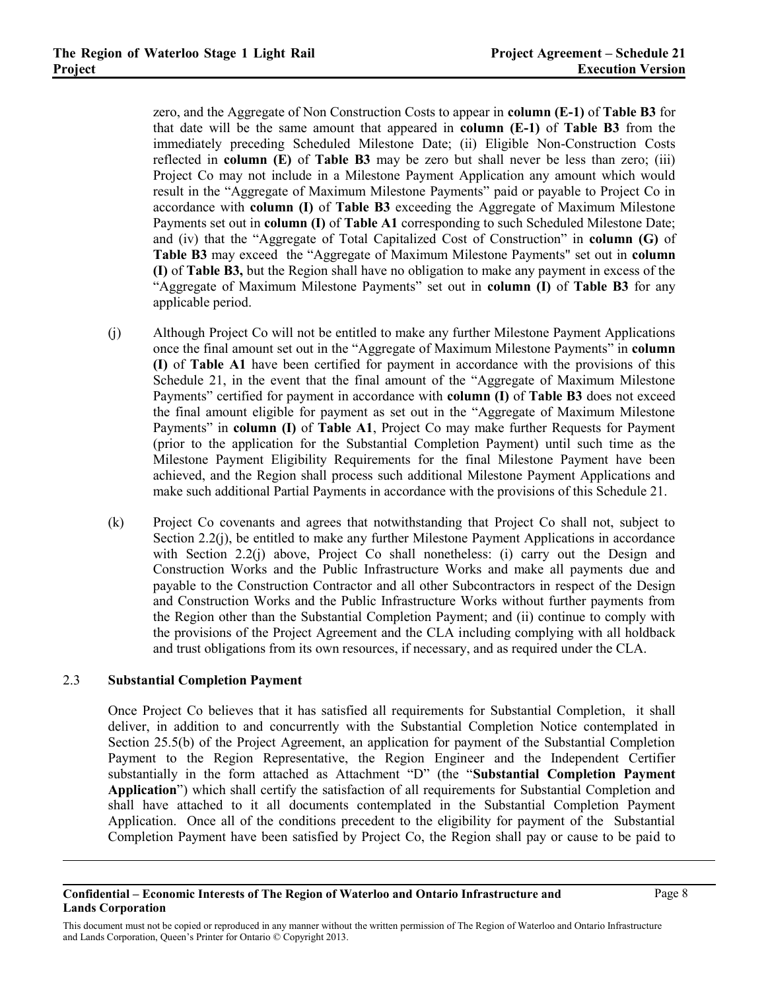zero, and the Aggregate of Non Construction Costs to appear in **column (E-1)** of **Table B3** for that date will be the same amount that appeared in **column (E-1)** of **Table B3** from the immediately preceding Scheduled Milestone Date; (ii) Eligible Non-Construction Costs reflected in **column (E)** of **Table B3** may be zero but shall never be less than zero; (iii) Project Co may not include in a Milestone Payment Application any amount which would result in the "Aggregate of Maximum Milestone Payments" paid or payable to Project Co in accordance with **column (I)** of **Table B3** exceeding the Aggregate of Maximum Milestone Payments set out in **column (I)** of **Table A1** corresponding to such Scheduled Milestone Date; and (iv) that the "Aggregate of Total Capitalized Cost of Construction" in **column (G)** of **Table B3** may exceed the "Aggregate of Maximum Milestone Payments" set out in **column (I)** of **Table B3,** but the Region shall have no obligation to make any payment in excess of the "Aggregate of Maximum Milestone Payments" set out in **column (I)** of **Table B3** for any applicable period.

- <span id="page-7-0"></span>(j) Although Project Co will not be entitled to make any further Milestone Payment Applications once the final amount set out in the "Aggregate of Maximum Milestone Payments" in **column (I)** of **Table A1** have been certified for payment in accordance with the provisions of this Schedule 21, in the event that the final amount of the "Aggregate of Maximum Milestone Payments" certified for payment in accordance with **column (I)** of **Table B3** does not exceed the final amount eligible for payment as set out in the "Aggregate of Maximum Milestone Payments" in **column (I)** of **Table A1**, Project Co may make further Requests for Payment (prior to the application for the Substantial Completion Payment) until such time as the Milestone Payment Eligibility Requirements for the final Milestone Payment have been achieved, and the Region shall process such additional Milestone Payment Applications and make such additional Partial Payments in accordance with the provisions of this Schedule 21.
- (k) Project Co covenants and agrees that notwithstanding that Project Co shall not, subject to Section 2.2(j), be entitled to make any further Milestone Payment Applications in accordance with Section [2.2\(j\)](#page-7-0) above, Project Co shall nonetheless: (i) carry out the Design and Construction Works and the Public Infrastructure Works and make all payments due and payable to the Construction Contractor and all other Subcontractors in respect of the Design and Construction Works and the Public Infrastructure Works without further payments from the Region other than the Substantial Completion Payment; and (ii) continue to comply with the provisions of the Project Agreement and the CLA including complying with all holdback and trust obligations from its own resources, if necessary, and as required under the CLA.

#### 2.3 **Substantial Completion Payment**

Once Project Co believes that it has satisfied all requirements for Substantial Completion, it shall deliver, in addition to and concurrently with the Substantial Completion Notice contemplated in Section 25.5(b) of the Project Agreement, an application for payment of the Substantial Completion Payment to the Region Representative, the Region Engineer and the Independent Certifier substantially in the form attached as Attachment "D" (the "**Substantial Completion Payment Application**") which shall certify the satisfaction of all requirements for Substantial Completion and shall have attached to it all documents contemplated in the Substantial Completion Payment Application. Once all of the conditions precedent to the eligibility for payment of the Substantial Completion Payment have been satisfied by Project Co, the Region shall pay or cause to be paid to

### **Confidential – Economic Interests of The Region of Waterloo and Ontario Infrastructure and Lands Corporation**

This document must not be copied or reproduced in any manner without the written permission of The Region of Waterloo and Ontario Infrastructure and Lands Corporation, Queen's Printer for Ontario © Copyright 2013.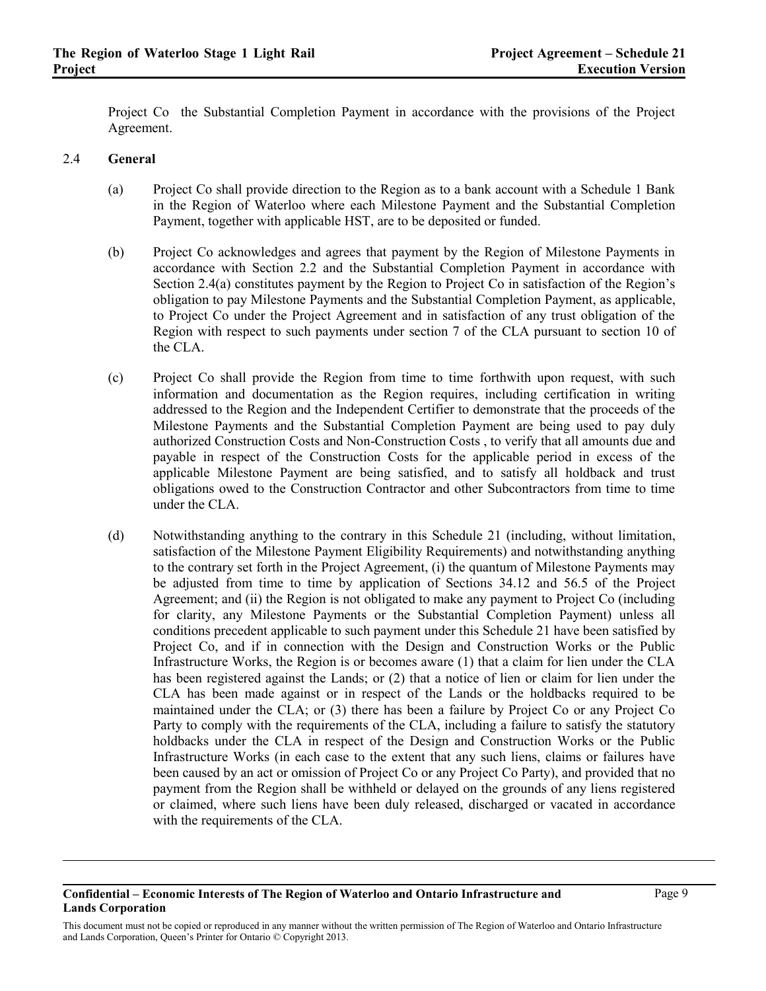Project Co the Substantial Completion Payment in accordance with the provisions of the Project Agreement.

## <span id="page-8-0"></span>2.4 **General**

- (a) Project Co shall provide direction to the Region as to a bank account with a Schedule 1 Bank in the Region of Waterloo where each Milestone Payment and the Substantial Completion Payment, together with applicable HST, are to be deposited or funded.
- (b) Project Co acknowledges and agrees that payment by the Region of Milestone Payments in accordance with Section 2.2 and the Substantial Completion Payment in accordance with Section [2.4\(a\)](#page-8-0) constitutes payment by the Region to Project Co in satisfaction of the Region's obligation to pay Milestone Payments and the Substantial Completion Payment, as applicable, to Project Co under the Project Agreement and in satisfaction of any trust obligation of the Region with respect to such payments under section 7 of the CLA pursuant to section 10 of the CLA.
- (c) Project Co shall provide the Region from time to time forthwith upon request, with such information and documentation as the Region requires, including certification in writing addressed to the Region and the Independent Certifier to demonstrate that the proceeds of the Milestone Payments and the Substantial Completion Payment are being used to pay duly authorized Construction Costs and Non-Construction Costs , to verify that all amounts due and payable in respect of the Construction Costs for the applicable period in excess of the applicable Milestone Payment are being satisfied, and to satisfy all holdback and trust obligations owed to the Construction Contractor and other Subcontractors from time to time under the CLA.
- (d) Notwithstanding anything to the contrary in this Schedule 21 (including, without limitation, satisfaction of the Milestone Payment Eligibility Requirements) and notwithstanding anything to the contrary set forth in the Project Agreement, (i) the quantum of Milestone Payments may be adjusted from time to time by application of Sections 34.12 and 56.5 of the Project Agreement; and (ii) the Region is not obligated to make any payment to Project Co (including for clarity, any Milestone Payments or the Substantial Completion Payment) unless all conditions precedent applicable to such payment under this Schedule 21 have been satisfied by Project Co, and if in connection with the Design and Construction Works or the Public Infrastructure Works, the Region is or becomes aware (1) that a claim for lien under the CLA has been registered against the Lands; or (2) that a notice of lien or claim for lien under the CLA has been made against or in respect of the Lands or the holdbacks required to be maintained under the CLA; or (3) there has been a failure by Project Co or any Project Co Party to comply with the requirements of the CLA, including a failure to satisfy the statutory holdbacks under the CLA in respect of the Design and Construction Works or the Public Infrastructure Works (in each case to the extent that any such liens, claims or failures have been caused by an act or omission of Project Co or any Project Co Party), and provided that no payment from the Region shall be withheld or delayed on the grounds of any liens registered or claimed, where such liens have been duly released, discharged or vacated in accordance with the requirements of the CLA.

### **Confidential – Economic Interests of The Region of Waterloo and Ontario Infrastructure and Lands Corporation**

This document must not be copied or reproduced in any manner without the written permission of The Region of Waterloo and Ontario Infrastructure and Lands Corporation, Queen's Printer for Ontario © Copyright 2013.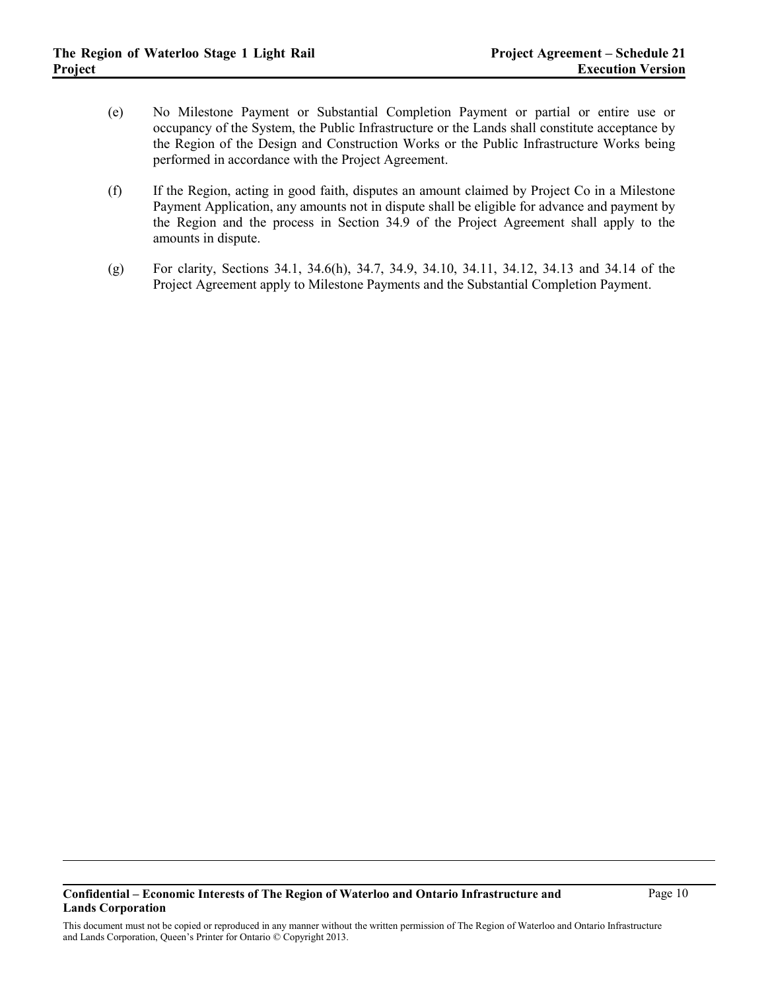- (e) No Milestone Payment or Substantial Completion Payment or partial or entire use or occupancy of the System, the Public Infrastructure or the Lands shall constitute acceptance by the Region of the Design and Construction Works or the Public Infrastructure Works being performed in accordance with the Project Agreement.
- (f) If the Region, acting in good faith, disputes an amount claimed by Project Co in a Milestone Payment Application, any amounts not in dispute shall be eligible for advance and payment by the Region and the process in Section 34.9 of the Project Agreement shall apply to the amounts in dispute.
- (g) For clarity, Sections 34.1, 34.6(h), 34.7, 34.9, 34.10, 34.11, 34.12, 34.13 and 34.14 of the Project Agreement apply to Milestone Payments and the Substantial Completion Payment.

#### **Confidential – Economic Interests of The Region of Waterloo and Ontario Infrastructure and Lands Corporation**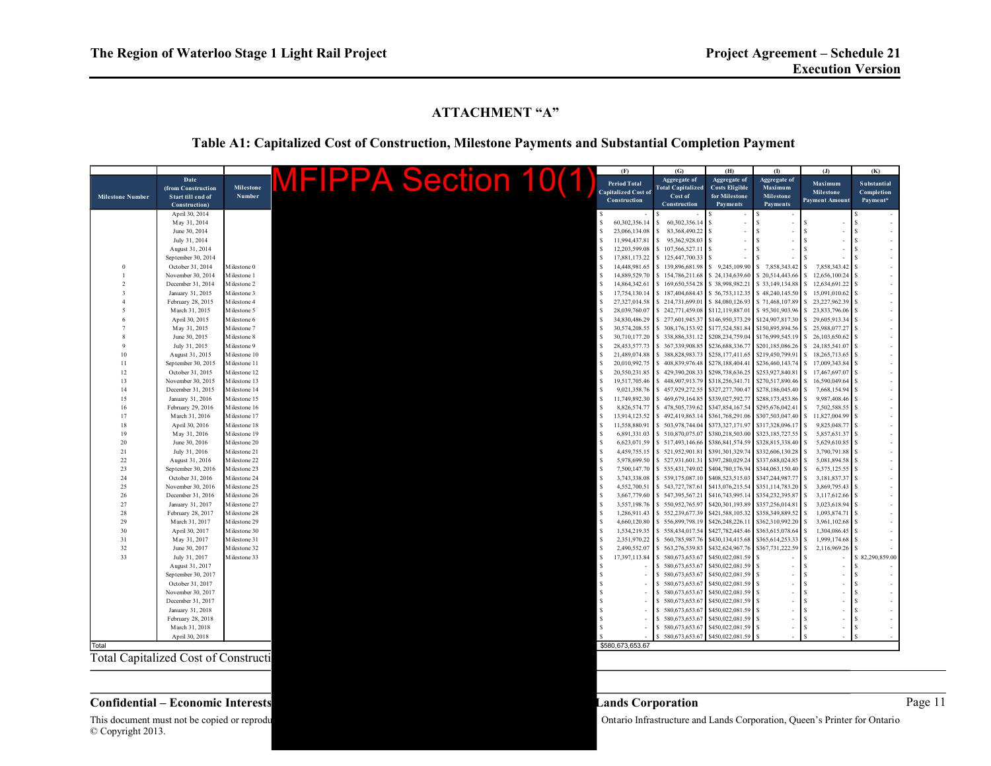# **ATTACHMENT "A"**

# **Table A1: Capitalized Cost of Construction, Milestone Payments and Substantial Completion Payment**

|                                             |                                |                              |  |  |                             |  |    | (F)                          | (G)                                 | (H)                                  | $\sigma$                             | $\mathbf{d}$                  | (K)                 |
|---------------------------------------------|--------------------------------|------------------------------|--|--|-----------------------------|--|----|------------------------------|-------------------------------------|--------------------------------------|--------------------------------------|-------------------------------|---------------------|
|                                             | Date                           |                              |  |  | <b>MFIPPA Section 10(1)</b> |  |    |                              | Aggregate of                        | Aggregate of                         | Aggregate of                         |                               |                     |
|                                             | (from Construction             | <b>Milestone</b>             |  |  |                             |  |    | Period Total                 | <b>Total Capitalized</b>            | <b>Costs Eligible</b>                | Maximum                              | Maximum                       | Substantial         |
| <b>Milestone Number</b>                     | Start till end of              | Number                       |  |  |                             |  |    | <b>Capitalized Cost of</b>   | Cost of                             | for Milestone                        | <b>Milestone</b>                     | Milestone                     | Completion          |
|                                             | Construction)                  |                              |  |  |                             |  |    | Construction                 | Construction                        | Payments                             | Payments                             | <b>Payment Amount</b>         | Payment*            |
|                                             | April 30, 2014                 |                              |  |  |                             |  |    |                              |                                     |                                      |                                      |                               |                     |
|                                             | May 31, 2014                   |                              |  |  |                             |  |    | 60,302,356.14                | 60,302,356.14                       | ä,                                   |                                      |                               |                     |
|                                             | June 30, 2014                  |                              |  |  |                             |  |    | 23,066,134.08                | 83,368,490.22                       |                                      |                                      |                               |                     |
|                                             | July 31, 2014                  |                              |  |  |                             |  |    | 11,994,437.81                | 95,362,928.03                       |                                      |                                      |                               |                     |
|                                             | August 31, 2014                |                              |  |  |                             |  |    | 12.203.599.08                | 107,566,527.1                       |                                      |                                      |                               |                     |
|                                             | September 30, 2014             |                              |  |  |                             |  |    | 17,881,173.22                | \$125,447,700.33                    |                                      |                                      |                               |                     |
|                                             | October 31, 2014               | M ilestone 0                 |  |  |                             |  |    | 14,448,981.65                | 139,896,681.98                      | s<br>9,245,109.90                    | 7.858.343.42                         | 7,858,343.42                  |                     |
|                                             | November 30, 2014              | Milestone 1                  |  |  |                             |  |    | 14,889,529.70                | 154,786,211.68                      | \$24,134,639.60                      | \$20,514,443.66                      | 12.656.100.24                 |                     |
|                                             | December 31, 2014              | Milestone 2                  |  |  |                             |  |    | 14,864,342.61                | 169,650,554.28                      | \$38,998,982.21                      | \$33,149,134.88                      | 12,634,691.22                 |                     |
|                                             | January 31, 2015               | Milestone 3                  |  |  |                             |  |    | 17,754,130.14                | \$187,404,684.43                    | \$56,753,112.35                      | \$48,240,145.50                      | 15,091,010.62<br>S.           |                     |
|                                             | February 28, 2015              | M ilestone 4                 |  |  |                             |  |    | 27,327,014.58                | \$214,731,699.01                    | \$84,080,126.93                      | \$71,468,107.89                      | 23,227,962.39<br>\$.          |                     |
|                                             | March 31, 2015                 | Milestone 5                  |  |  |                             |  |    | 28,039,760.07                | \$242,771,459.08                    | \$112,119,887.01                     | \$95,301,903.96                      | 23,833,796.06                 |                     |
|                                             | April 30, 2015                 | Milestone 6                  |  |  |                             |  |    | 34,830,486.29                | \$277,601,945.3                     | \$146,950,373.29                     | \$124,907,817.30                     | \$29,605,913.34               |                     |
|                                             | May 31, 2015                   | Milestone 7                  |  |  |                             |  |    | 30,574,208.55                | \$308,176,153.92                    | \$177,524,581.84                     | \$150,895,894.56                     | 25,988,077.27<br>\$           |                     |
|                                             | June 30, 2015                  | Milestone 8                  |  |  |                             |  | S  | 30,710,177.20                | \$338,886,331.12                    | \$208,234,759.04                     | \$176,999,545.19                     | 26,103,650.62<br>\$           |                     |
|                                             | July 31, 2015                  | Milestone 9                  |  |  |                             |  |    |                              | 28,453,577.73 \$ 367,339,908.85     | \$236,688,336.77                     | \$201,185,086.26                     | 24,185,541.07<br>S.           |                     |
| 10                                          | August 31, 2015                | Milestone 10                 |  |  |                             |  |    | 21,489,074.88                | \$388,828,983.73                    | \$258,177,411.65                     | \$219,450,799.91                     | \$18,265,713.65               |                     |
| 11                                          | September 30, 2015             | Milestone 11                 |  |  |                             |  |    | 20,010,992.75                | \$408,839,976.48                    | \$278,188,404.41                     | \$236,460,143.74                     | \$17.009.343.84               |                     |
| 12                                          | October 31, 2015               | Milestone 12                 |  |  |                             |  | \$ | 20,550,231.85                | \$429,390,208.33                    | \$298,738,636.25                     | \$253,927,840.81                     | 17,467,697.07<br><sup>S</sup> |                     |
| 13                                          | November 30, 2015              | Milestone 13                 |  |  |                             |  | \$ | 19,517,705.46                | 448,907,913.79<br>s                 | \$318,256,341.71                     | \$270,517,890.46                     | 16,590,049.64<br>S.           |                     |
| 14                                          | December 31, 2015              | Milestone 14                 |  |  |                             |  |    | 9,021,358.76                 | \$457,929,272.55                    | \$327,277,700.47                     | \$278,186,045.40                     | S.<br>7,668,154.94            |                     |
| 15                                          | January 31, 2016               | Milestone 15                 |  |  |                             |  |    | 11,749,892.30                | \$469,679,164.85                    | \$339,027,592.77                     | \$288,173,453.86                     | 9,987,408.46<br>S.            |                     |
| 16                                          | February 29, 2016              | Milestone 16                 |  |  |                             |  |    | 8,826,574.77                 | \$478,505,739.62                    | \$347,854,167.54                     | \$295,676,042.41                     | 7,502,588.55<br>S.            |                     |
| 17                                          | March 31, 2016                 | Milestone 17                 |  |  |                             |  |    | 13,914,123.52                | \$492,419,863.14                    | \$361,768,291.06                     | \$307,503,047.40                     | 11,827,004.99<br>S.           |                     |
| 18                                          | April 30, 2016                 | Milestone 18                 |  |  |                             |  |    | 11,558,880.91                | \$503,978,744.04                    | \$373,327,171.97                     | \$317,328,096.17                     | 9,825,048.77<br>S.            |                     |
| 19                                          | May 31, 2016                   | Milestone 19                 |  |  |                             |  |    | 6,891,331.03                 | \$510,870,075.07                    | \$380,218,503.00                     | \$323,185,727.55                     | \$<br>5,857,631.37            |                     |
| 20                                          | June 30, 2016                  | Milestone 20                 |  |  |                             |  | S  | 6,623,071.59                 | \$517,493,146.66                    | \$386,841,574.59                     | \$328,815,338.40                     | $\mathbf{s}$<br>5,629,610.85  |                     |
| 21                                          | July 31, 2016                  | Milestone 21                 |  |  |                             |  |    | 4,459,755.15                 | \$521,952,901.81                    | \$391,301,329.74                     | \$332,606,130.28                     | 3,790,791.88<br>\$            |                     |
| 22                                          | August 31, 2016                | Milestone 22                 |  |  |                             |  | S  |                              | 5,978,699.50 \$ 527,931,601.31      | \$397,280,029.24                     | \$337,688,024.85                     | \$.<br>5,081,894.58           |                     |
| 23                                          | September 30, 2016             | Milestone 23                 |  |  |                             |  |    | 7.500.147.70                 | \$535,431,749.02                    | \$404,780,176.94                     | \$344,063,150.40                     | 6,375,125.55<br>S             |                     |
| 24                                          | October 31, 2016               | Milestone 24                 |  |  |                             |  | S  | 3.743.338.08                 | \$539,175,087.10                    | \$408,523,515.03                     | \$347.244.987.77                     | 3.181.837.37<br>S.            |                     |
| 25                                          | November 30, 2016              | M ilestone 25                |  |  |                             |  |    | 4,552,700.51                 | \$543,727,787.61                    | \$413,076,215.54                     | \$351,114,783.20                     | 3,869,795.43<br>s             |                     |
| 26                                          | December 31, 2016              | Milestone 26                 |  |  |                             |  |    | 3,667,779.60                 | \$547,395,567.21                    | \$416,743,995.14                     | \$354,232,395.87                     | 3,117,612.66<br>\$.           |                     |
| 27                                          | January 31, 2017               | M ilestone 27                |  |  |                             |  |    | 3,557,198.76                 | \$550,952,765.9                     | \$420,301,193.89                     | \$357,256,014.8                      | 3,023,618.94                  |                     |
| 28<br>29                                    | February 28, 2017              | Milestone 28                 |  |  |                             |  |    | 1,286,911.43                 | \$552,239,677.3                     | \$421,588,105.32                     | \$358,349,889.52                     | \$<br>1,093,874.71<br>\$      |                     |
| 30                                          | March 31, 2017                 | Milestone 29                 |  |  |                             |  |    | 4,660,120.80<br>1,534,219.35 | \$556,899,798.19                    | \$426,248,226.11                     | \$362,310,992.20                     | 3,961,102.68<br>1,304,086.45  |                     |
| 31                                          | April 30, 2017<br>May 31, 2017 | Milestone 30<br>Milestone 31 |  |  |                             |  |    | 2,351,970.22                 | \$558,434,017.54<br>\$560,785,987.7 | \$427,782,445.46<br>\$430,134,415.68 | \$363,615,078.64<br>\$365,614,253.33 | 1,999,174.68<br>\$            |                     |
| 32                                          | June 30, 2017                  | Milestone 32                 |  |  |                             |  |    | 2,490,552.07                 | \$563,276,539.8                     | \$432,624,967.76                     | \$367,731,222.59                     | 2,116,969.26<br>\$            |                     |
| 33                                          | July 31, 2017                  | Milestone 33                 |  |  |                             |  |    | 17,397,113.84                | 580,673,653.6                       | \$450,022,081.59                     |                                      |                               | 82,290,859.00<br>\$ |
|                                             | August 31, 2017                |                              |  |  |                             |  |    |                              | 580,673,653.67                      | \$450,022,081.59                     |                                      |                               |                     |
|                                             | September 30, 2017             |                              |  |  |                             |  |    |                              | \$580,673,653.6                     | \$450,022,081.59                     |                                      |                               |                     |
|                                             | October 31, 2017               |                              |  |  |                             |  |    |                              | \$580,673,653.67                    | \$450,022,081.59                     |                                      | \$.                           |                     |
|                                             | November 30, 2017              |                              |  |  |                             |  |    |                              | \$580,673,653.67                    | \$450,022,081.59                     |                                      | \$.                           |                     |
|                                             | December 31, 2017              |                              |  |  |                             |  |    |                              | 580,673,653.67                      | \$450,022,081.59                     |                                      | \$                            |                     |
|                                             | January 31, 2018               |                              |  |  |                             |  |    |                              | 580,673,653.67                      | \$450,022,081.59                     |                                      | <b>S</b>                      | \$                  |
|                                             | February 28, 2018              |                              |  |  |                             |  |    |                              | 580,673,653.6                       | \$450,022,081.59                     | $\hat{\mathbf{z}}$                   | \$.                           | \$                  |
|                                             | March 31, 2018                 |                              |  |  |                             |  |    |                              | \$580,673,653.67                    | \$450,022,081.59                     | $\hat{\mathbf{z}}$                   | \$<br>×                       | -S                  |
|                                             | April 30, 2018                 |                              |  |  |                             |  |    |                              | 580,673,653.67                      | \$450,022,081.59                     |                                      |                               |                     |
| Total                                       |                                |                              |  |  |                             |  |    | \$580,673,653.67             |                                     |                                      |                                      |                               |                     |
|                                             |                                |                              |  |  |                             |  |    |                              |                                     |                                      |                                      |                               |                     |
| <b>Total Capitalized Cost of Constructi</b> |                                |                              |  |  |                             |  |    |                              |                                     |                                      |                                      |                               |                     |
|                                             |                                |                              |  |  |                             |  |    |                              |                                     |                                      |                                      |                               |                     |
|                                             |                                |                              |  |  |                             |  |    |                              |                                     |                                      |                                      |                               |                     |
|                                             |                                |                              |  |  |                             |  |    |                              |                                     |                                      |                                      |                               |                     |

## **Confidential – Economic Interests Lands Corporation** Page 11

This document must not be copied or reprodu<br>
© Copyright 2013.

Ontario Infrastructure and Lands Corporation, Queen's Printer for Ontario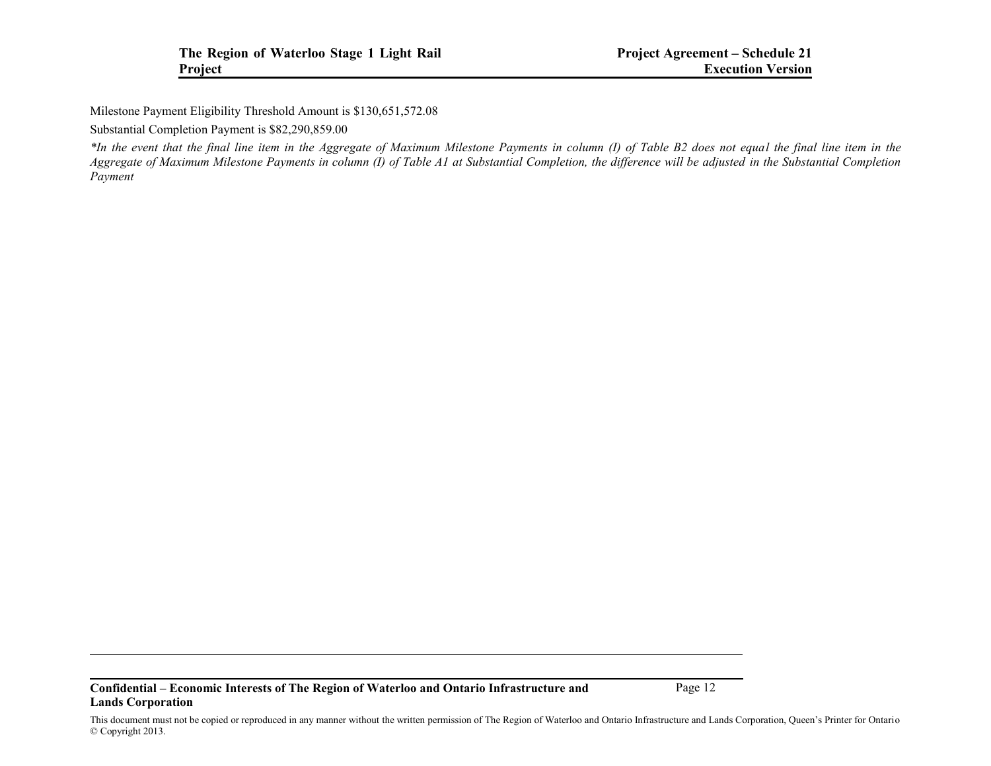Milestone Payment Eligibility Threshold Amount is \$130,651,572.08

Substantial Completion Payment is \$82,290,859.00

*\*In the event that the final line item in the Aggregate of Maximum Milestone Payments in column (I) of Table B2 does not equal the final line item in the Aggregate of Maximum Milestone Payments in column (I) of Table A1 at Substantial Completion, the difference will be adjusted in the Substantial Completion Payment*

**Confidential – Economic Interests of The Region of Waterloo and Ontario Infrastructure and Lands Corporation**

Page 12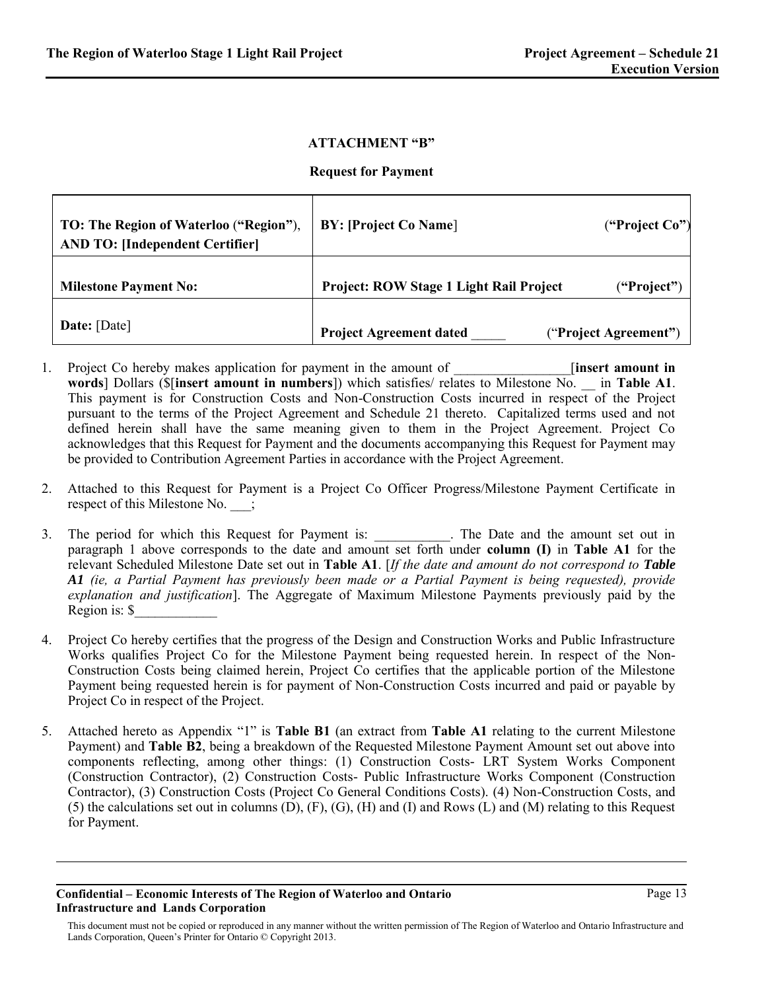## **ATTACHMENT "B"**

### **Request for Payment**

| TO: The Region of Waterloo ("Region"),<br><b>AND TO: [Independent Certifier]</b> | <b>BY: [Project Co Name]</b>            | ("Project $Co$ ")     |
|----------------------------------------------------------------------------------|-----------------------------------------|-----------------------|
| <b>Milestone Payment No:</b>                                                     | Project: ROW Stage 1 Light Rail Project | ("Project")           |
| Date: [Date]                                                                     | <b>Project Agreement dated</b>          | ("Project Agreement") |

- 1. Project Co hereby makes application for payment in the amount of **linsert amount in words**] Dollars (\$[**insert amount in numbers**]) which satisfies/ relates to Milestone No. \_\_ in **Table A1**. This payment is for Construction Costs and Non-Construction Costs incurred in respect of the Project pursuant to the terms of the Project Agreement and Schedule 21 thereto. Capitalized terms used and not defined herein shall have the same meaning given to them in the Project Agreement. Project Co acknowledges that this Request for Payment and the documents accompanying this Request for Payment may be provided to Contribution Agreement Parties in accordance with the Project Agreement.
- 2. Attached to this Request for Payment is a Project Co Officer Progress/Milestone Payment Certificate in respect of this Milestone No. \_\_\_;
- 3. The period for which this Request for Payment is: \_\_\_\_\_\_\_\_\_\_. The Date and the amount set out in paragraph 1 above corresponds to the date and amount set forth under **column (I)** in **Table A1** for the relevant Scheduled Milestone Date set out in **Table A1**. [*If the date and amount do not correspond to Table A1 (ie, a Partial Payment has previously been made or a Partial Payment is being requested), provide explanation and justification*]. The Aggregate of Maximum Milestone Payments previously paid by the Region is: \$\_\_\_\_\_\_\_\_\_\_\_\_
- 4. Project Co hereby certifies that the progress of the Design and Construction Works and Public Infrastructure Works qualifies Project Co for the Milestone Payment being requested herein. In respect of the Non-Construction Costs being claimed herein, Project Co certifies that the applicable portion of the Milestone Payment being requested herein is for payment of Non-Construction Costs incurred and paid or payable by Project Co in respect of the Project.
- 5. Attached hereto as Appendix "1" is **Table B1** (an extract from **Table A1** relating to the current Milestone Payment) and **Table B2**, being a breakdown of the Requested Milestone Payment Amount set out above into components reflecting, among other things: (1) Construction Costs- LRT System Works Component (Construction Contractor), (2) Construction Costs- Public Infrastructure Works Component (Construction Contractor), (3) Construction Costs (Project Co General Conditions Costs). (4) Non-Construction Costs, and (5) the calculations set out in columns (D), (F), (G), (H) and (I) and Rows (L) and (M) relating to this Request for Payment.

This document must not be copied or reproduced in any manner without the written permission of The Region of Waterloo and Ontario Infrastructure and Lands Corporation, Queen's Printer for Ontario © Copyright 2013.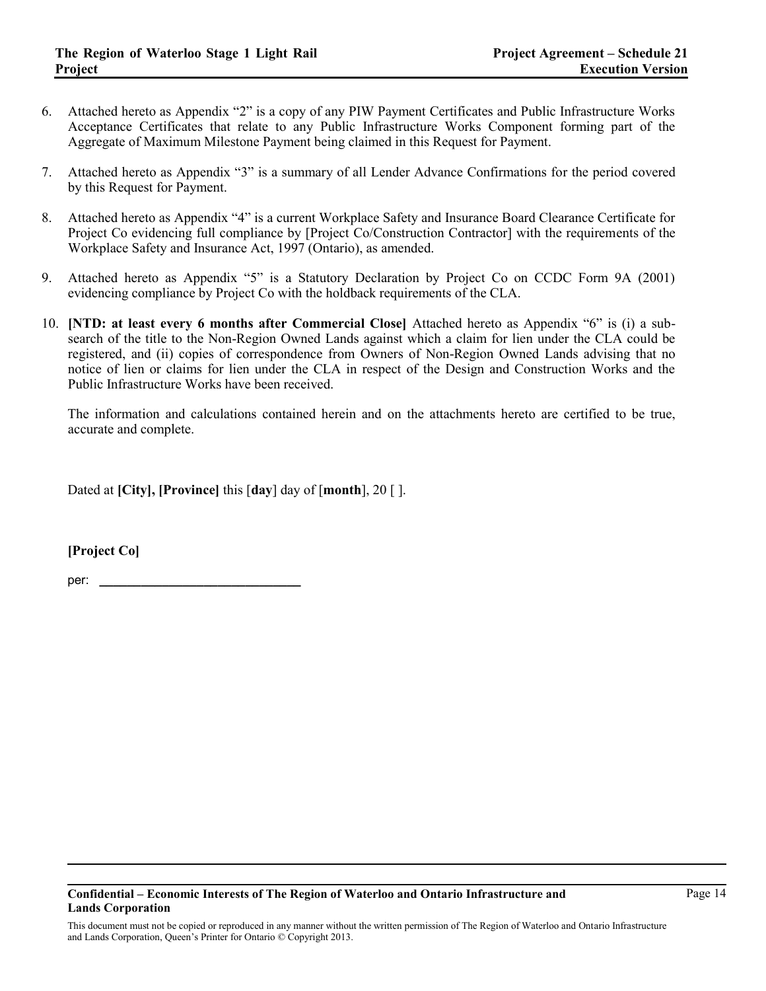- 6. Attached hereto as Appendix "2" is a copy of any PIW Payment Certificates and Public Infrastructure Works Acceptance Certificates that relate to any Public Infrastructure Works Component forming part of the Aggregate of Maximum Milestone Payment being claimed in this Request for Payment.
- 7. Attached hereto as Appendix "3" is a summary of all Lender Advance Confirmations for the period covered by this Request for Payment.
- 8. Attached hereto as Appendix "4" is a current Workplace Safety and Insurance Board Clearance Certificate for Project Co evidencing full compliance by [Project Co/Construction Contractor] with the requirements of the Workplace Safety and Insurance Act, 1997 (Ontario), as amended.
- 9. Attached hereto as Appendix "5" is a Statutory Declaration by Project Co on CCDC Form 9A (2001) evidencing compliance by Project Co with the holdback requirements of the CLA.
- 10. **[NTD: at least every 6 months after Commercial Close]** Attached hereto as Appendix "6" is (i) a subsearch of the title to the Non-Region Owned Lands against which a claim for lien under the CLA could be registered, and (ii) copies of correspondence from Owners of Non-Region Owned Lands advising that no notice of lien or claims for lien under the CLA in respect of the Design and Construction Works and the Public Infrastructure Works have been received.

The information and calculations contained herein and on the attachments hereto are certified to be true, accurate and complete.

Dated at **[City], [Province]** this [**day**] day of [**month**], 20 [ ].

**[Project Co]**

per:

## **Confidential – Economic Interests of The Region of Waterloo and Ontario Infrastructure and Lands Corporation**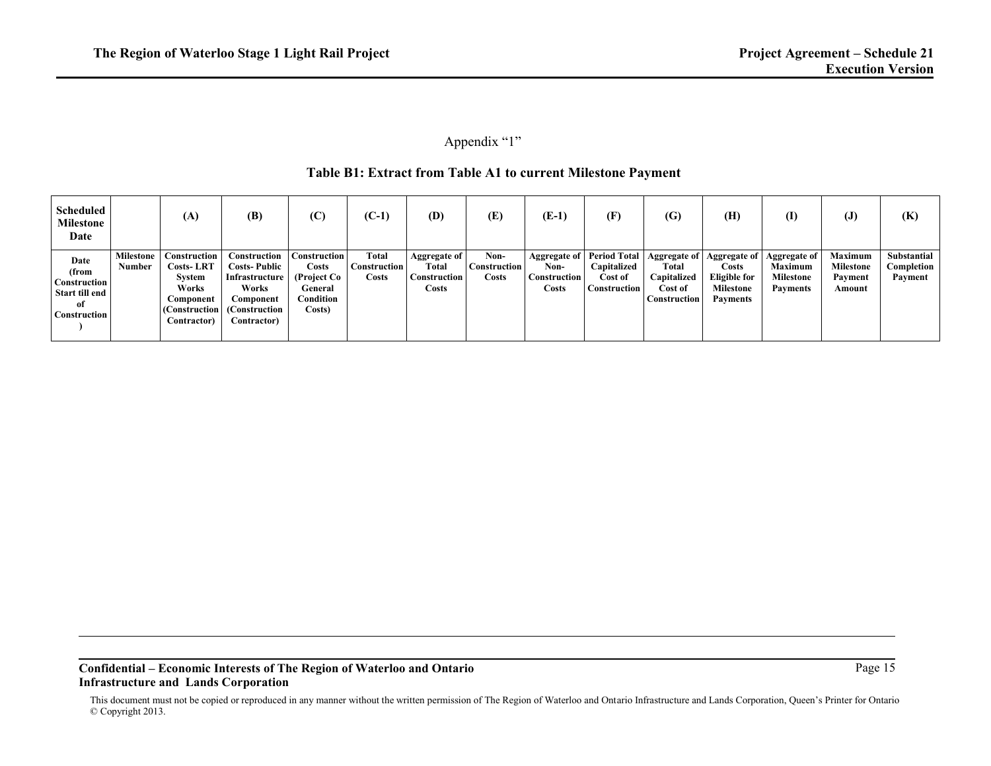# Appendix "1"

# **Table B1: Extract from Table A1 to current Milestone Payment**

| <b>Scheduled</b><br>Milestone<br>Date                                        |                     | (A)                                                                                               | (B)                                                                                                         | (C)                                                                           | $(C-1)$                               | (D)                                                   | (E)                                        | (E-1)                                                | (F)                                                                  | (G)                                                                    | (H)                                                                          | (I)                                                                      | $\left( J\right)$                                       | (K)                                  |
|------------------------------------------------------------------------------|---------------------|---------------------------------------------------------------------------------------------------|-------------------------------------------------------------------------------------------------------------|-------------------------------------------------------------------------------|---------------------------------------|-------------------------------------------------------|--------------------------------------------|------------------------------------------------------|----------------------------------------------------------------------|------------------------------------------------------------------------|------------------------------------------------------------------------------|--------------------------------------------------------------------------|---------------------------------------------------------|--------------------------------------|
| Date<br>(from<br><b>Construction</b><br>Start till end<br>of<br>Construction | Milestone<br>Number | Construction<br><b>Costs-LRT</b><br>System<br>Works<br>Component<br>(Construction)<br>Contractor) | Construction<br><b>Costs-Public</b><br>Infrastructure<br>Works<br>Component<br>(Construction<br>Contractor) | <b>Construction</b><br>Costs<br>(Project Co<br>General<br>Condition<br>Costs) | Total<br><b>Construction</b><br>Costs | Aggregate of<br>Total<br>Construction<br><b>Costs</b> | Non-<br>Construction <sup>1</sup><br>Costs | Aggregate of<br>Non-<br><b>Construction</b><br>Costs | <b>Period Total</b><br>Capitalized<br>Cost of<br><b>Construction</b> | Aggregate of<br>Total<br>Capitalized<br>Cost of<br><b>Construction</b> | Aggregate of<br>Costs<br>Eligible for<br><b>Milestone</b><br><b>Payments</b> | Aggregate of   <br><b>Maximum</b><br><b>Milestone</b><br><b>Payments</b> | <b>Maximum</b><br><b>Milestone</b><br>Payment<br>Amount | Substantial<br>Completion<br>Payment |

#### **Confidential – Economic Interests of The Region of Waterloo and Ontario Infrastructure and Lands Corporation**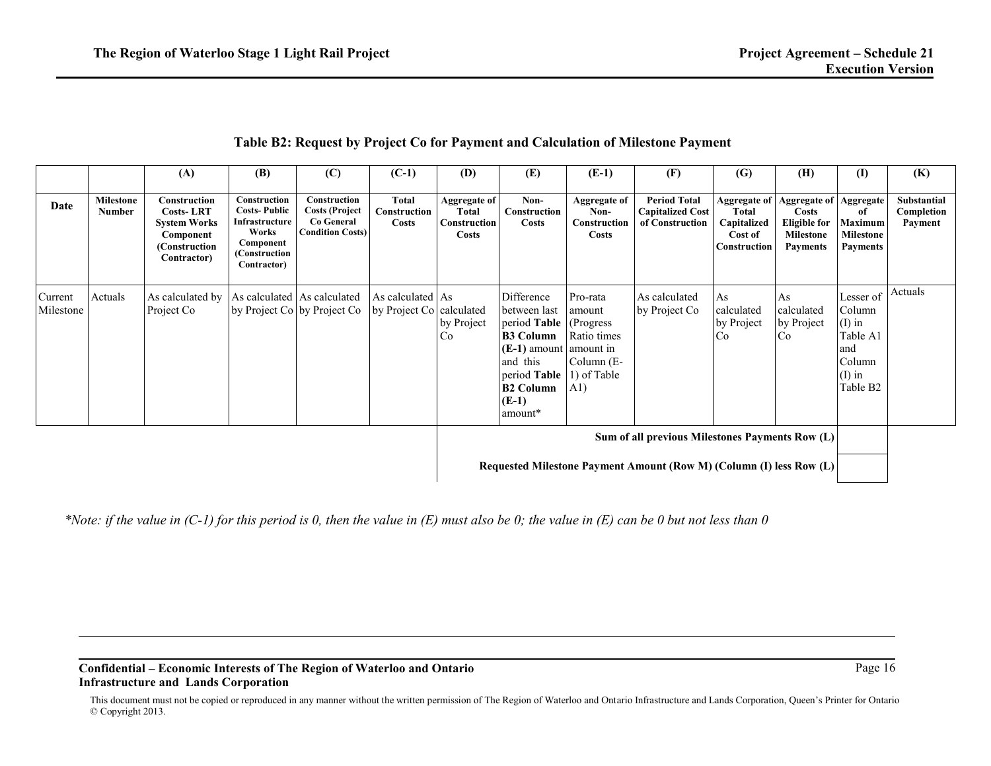|  |  | Table B2: Request by Project Co for Payment and Calculation of Milestone Payment |
|--|--|----------------------------------------------------------------------------------|
|  |  |                                                                                  |

|                                                                     |                                   | (A)                                                                                                  | (B)                                                                                                         | (C)                                                                            | $(C-1)$                                      | (D)                                                   | (E)                                                                                                                                                                        | $(E-1)$                                                                 | (F)                                                               | (G)                                                                    | (H)                                                                                 | (I)                                                                                              | (K)                                         |
|---------------------------------------------------------------------|-----------------------------------|------------------------------------------------------------------------------------------------------|-------------------------------------------------------------------------------------------------------------|--------------------------------------------------------------------------------|----------------------------------------------|-------------------------------------------------------|----------------------------------------------------------------------------------------------------------------------------------------------------------------------------|-------------------------------------------------------------------------|-------------------------------------------------------------------|------------------------------------------------------------------------|-------------------------------------------------------------------------------------|--------------------------------------------------------------------------------------------------|---------------------------------------------|
| Date                                                                | <b>Milestone</b><br><b>Number</b> | Construction<br><b>Costs-LRT</b><br><b>System Works</b><br>Component<br>(Construction<br>Contractor) | Construction<br><b>Costs-Public</b><br>Infrastructure<br>Works<br>Component<br>(Construction<br>Contractor) | Construction<br><b>Costs (Project</b><br>Co General<br><b>Condition Costs)</b> | <b>Total</b><br>Construction<br><b>Costs</b> | Aggregate of<br>Total<br>Construction<br><b>Costs</b> | Non-<br>Construction<br><b>Costs</b>                                                                                                                                       | <b>Aggregate of</b><br>Non-<br>Construction<br><b>Costs</b>             | <b>Period Total</b><br><b>Capitalized Cost</b><br>of Construction | <b>Aggregate of</b><br>Total<br>Capitalized<br>Cost of<br>Construction | <b>Aggregate of</b><br>Costs<br><b>Eligible for</b><br>Milestone<br><b>Payments</b> | Aggregate<br>of<br>Maximum<br><b>Milestone</b><br><b>Payments</b>                                | <b>Substantial</b><br>Completion<br>Payment |
| Current<br>Milestone                                                | Actuals                           | As calculated by<br>Project Co                                                                       |                                                                                                             | As calculated As calculated<br>by Project Co by Project Co                     | As calculated As<br>by Project Co calculated | by Project<br>Co                                      | Difference<br>between last<br>period Table (Progress<br><b>B3 Column</b><br>$(E-1)$ amount amount in<br>and this<br>period Table<br><b>B2 Column</b><br>$(E-1)$<br>amount* | Pro-rata<br>amount<br>Ratio times<br>Column $(E-$<br>1) of Table<br>A1) | As calculated<br>by Project Co                                    | As<br>calculated<br>by Project<br>Co                                   | As<br>calculated<br>by Project<br>Co                                                | Lesser of<br>Column<br>$(I)$ in<br>Table A1<br>and<br>Column<br>$(I)$ in<br>Table B <sub>2</sub> | Actuals                                     |
| Sum of all previous Milestones Payments Row (L)                     |                                   |                                                                                                      |                                                                                                             |                                                                                |                                              |                                                       |                                                                                                                                                                            |                                                                         |                                                                   |                                                                        |                                                                                     |                                                                                                  |                                             |
| Requested Milestone Payment Amount (Row M) (Column (I) less Row (L) |                                   |                                                                                                      |                                                                                                             |                                                                                |                                              |                                                       |                                                                                                                                                                            |                                                                         |                                                                   |                                                                        |                                                                                     |                                                                                                  |                                             |

*\*Note: if the value in (C-1) for this period is 0, then the value in (E) must also be 0; the value in (E) can be 0 but not less than 0*

#### **Confidential – Economic Interests of The Region of Waterloo and Ontario Infrastructure and Lands Corporation**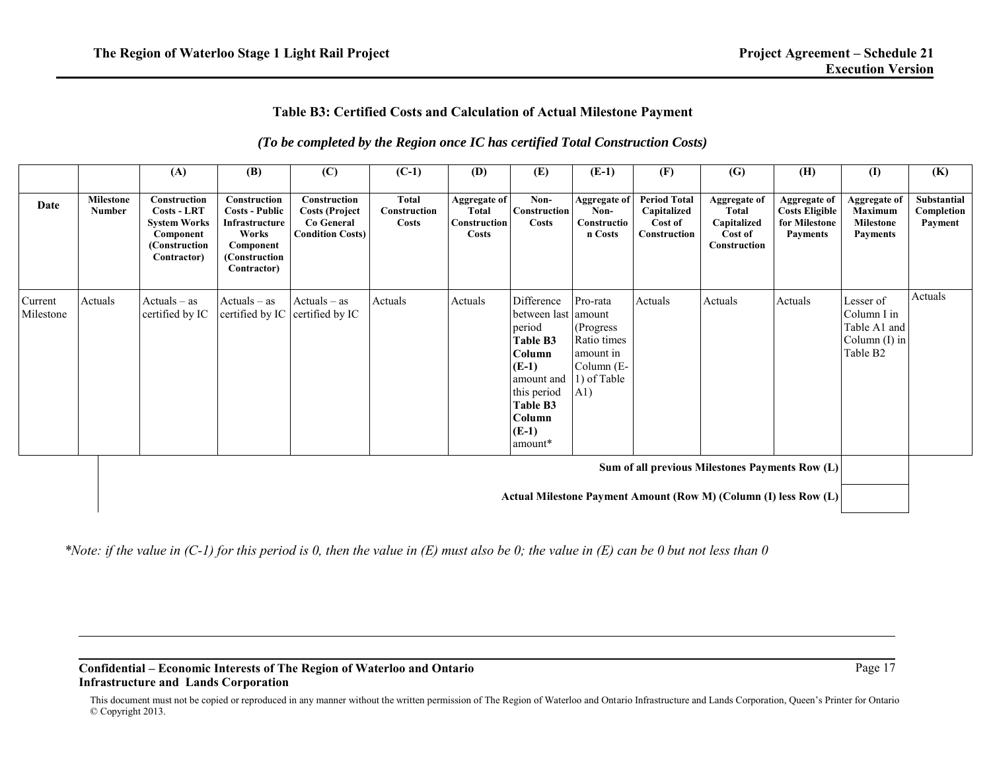## **Table B3: Certified Costs and Calculation of Actual Milestone Payment**

## *(To be completed by the Region once IC has certified Total Construction Costs)*

|                                                                                                                     |                                   | (A)                                                                                                            | (B)                                                                                                            | (C)                                                                                   | $(C-1)$                               | (D)                                                          | (E)                                                                                                                                                   | $(E-1)$                                                                                  | (F)                                                           | (G)                                                                           | (H)                                                                              | $\mathbf{I}$                                                                        | (K)                                  |
|---------------------------------------------------------------------------------------------------------------------|-----------------------------------|----------------------------------------------------------------------------------------------------------------|----------------------------------------------------------------------------------------------------------------|---------------------------------------------------------------------------------------|---------------------------------------|--------------------------------------------------------------|-------------------------------------------------------------------------------------------------------------------------------------------------------|------------------------------------------------------------------------------------------|---------------------------------------------------------------|-------------------------------------------------------------------------------|----------------------------------------------------------------------------------|-------------------------------------------------------------------------------------|--------------------------------------|
| Date                                                                                                                | <b>Milestone</b><br><b>Number</b> | <b>Construction</b><br><b>Costs - LRT</b><br><b>System Works</b><br>Component<br>(Construction)<br>Contractor) | Construction<br><b>Costs - Public</b><br>Infrastructure<br>Works<br>Component<br>(Construction)<br>Contractor) | <b>Construction</b><br><b>Costs (Project</b><br>Co General<br><b>Condition Costs)</b> | Total<br>Construction<br><b>Costs</b> | <b>Aggregate of</b><br>Total<br><b>Construction</b><br>Costs | Non-<br>Construction<br><b>Costs</b>                                                                                                                  | Aggregate of<br>Non-<br>Constructio<br>n Costs                                           | <b>Period Total</b><br>Capitalized<br>Cost of<br>Construction | <b>Aggregate of</b><br>Total<br>Capitalized<br>Cost of<br><b>Construction</b> | <b>Aggregate of</b><br><b>Costs Eligible</b><br>for Milestone<br><b>Payments</b> | <b>Aggregate of</b><br>Maximum<br><b>Milestone</b><br><b>Payments</b>               | Substantial<br>Completion<br>Payment |
| Current<br>Milestone                                                                                                | Actuals                           | $Actually - as$<br>certified by IC                                                                             | $Actuals - as$<br>certified by IC                                                                              | $Actuals - as$<br>certified by IC                                                     | Actuals                               | Actuals                                                      | Difference<br>between last amount<br>period<br>Table B3<br>Column<br>$(E-1)$<br>amount and<br>this period<br>Table B3<br>Column<br>$(E-1)$<br>amount* | Pro-rata<br>(Progress)<br>Ratio times<br>amount in<br>Column $(E-$<br>1) of Table<br>A1) | Actuals                                                       | Actuals                                                                       | Actuals                                                                          | Lesser of<br>Column I in<br>Table A1 and<br>Column $(I)$ in<br>Table B <sub>2</sub> | Actuals                              |
| Sum of all previous Milestones Payments Row (L)<br>Actual Milestone Payment Amount (Row M) (Column (I) less Row (L) |                                   |                                                                                                                |                                                                                                                |                                                                                       |                                       |                                                              |                                                                                                                                                       |                                                                                          |                                                               |                                                                               |                                                                                  |                                                                                     |                                      |

*\*Note: if the value in (C-1) for this period is 0, then the value in (E) must also be 0; the value in (E) can be 0 but not less than 0*

### **Confidential – Economic Interests of The Region of Waterloo and Ontario Infrastructure and Lands Corporation**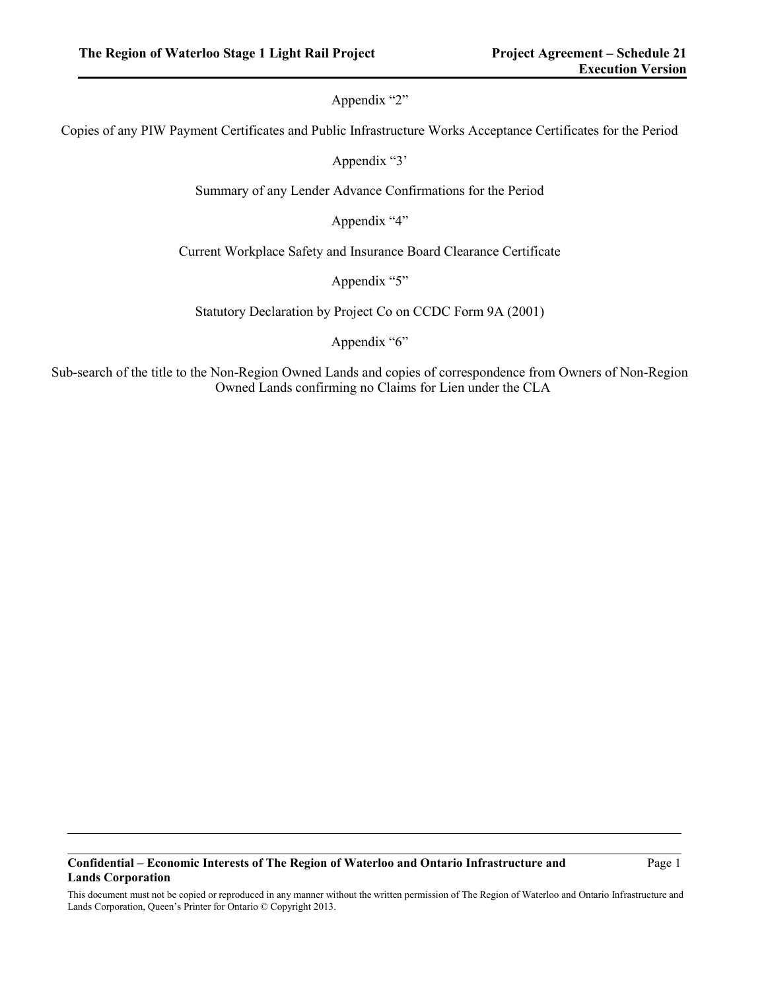## Appendix "2"

Copies of any PIW Payment Certificates and Public Infrastructure Works Acceptance Certificates for the Period

Appendix "3'

Summary of any Lender Advance Confirmations for the Period

Appendix "4"

Current Workplace Safety and Insurance Board Clearance Certificate

Appendix "5"

Statutory Declaration by Project Co on CCDC Form 9A (2001)

Appendix "6"

Sub-search of the title to the Non-Region Owned Lands and copies of correspondence from Owners of Non-Region Owned Lands confirming no Claims for Lien under the CLA

#### **Confidential – Economic Interests of The Region of Waterloo and Ontario Infrastructure and Lands Corporation**

Page 1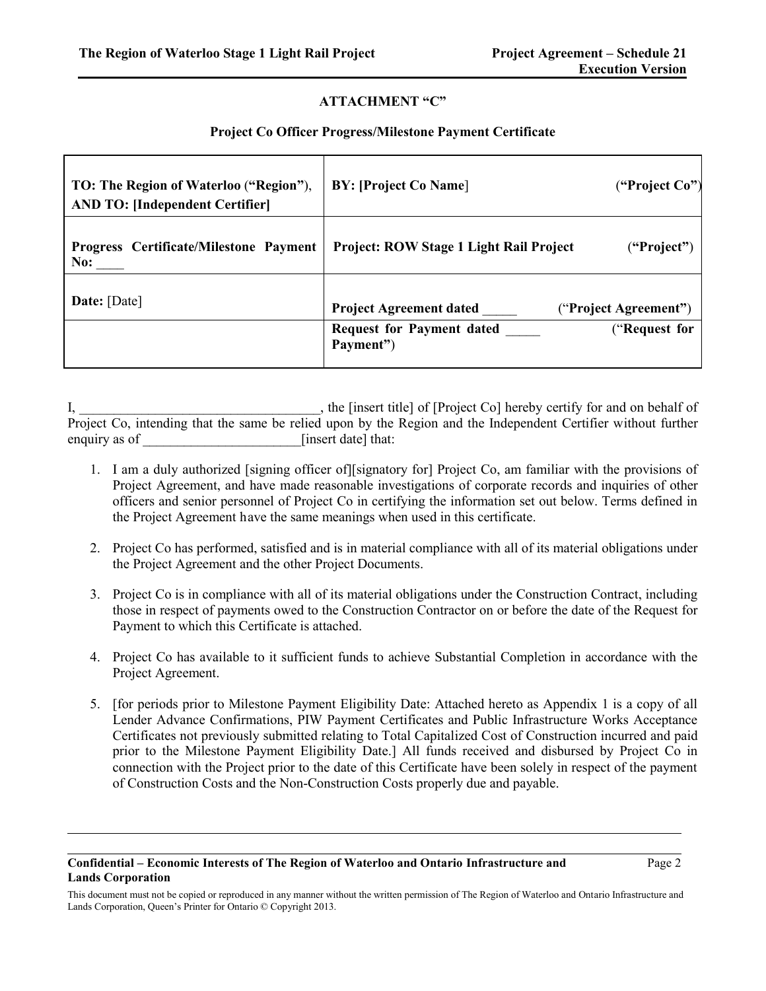## **ATTACHMENT "C"**

### **Project Co Officer Progress/Milestone Payment Certificate**

| TO: The Region of Waterloo ("Region"),        | <b>BY: [Project Co Name]</b>                                   |
|-----------------------------------------------|----------------------------------------------------------------|
| <b>AND TO: [Independent Certifier]</b>        | ("Project Co")                                                 |
| <b>Progress Certificate/Milestone Payment</b> | Project: ROW Stage 1 Light Rail Project                        |
| No:                                           | ("Project")                                                    |
| Date: [Date]                                  | <b>Project Agreement dated</b><br>("Project Agreement")        |
|                                               | <b>Request for Payment dated</b><br>("Request for<br>Payment") |

I, the [insert title] of [Project Co] hereby certify for and on behalf of Project Co, intending that the same be relied upon by the Region and the Independent Certifier without further enquiry as of  $\qquad \qquad$  [insert date] that:

- 1. I am a duly authorized [signing officer of][signatory for] Project Co, am familiar with the provisions of Project Agreement, and have made reasonable investigations of corporate records and inquiries of other officers and senior personnel of Project Co in certifying the information set out below. Terms defined in the Project Agreement have the same meanings when used in this certificate.
- 2. Project Co has performed, satisfied and is in material compliance with all of its material obligations under the Project Agreement and the other Project Documents.
- 3. Project Co is in compliance with all of its material obligations under the Construction Contract, including those in respect of payments owed to the Construction Contractor on or before the date of the Request for Payment to which this Certificate is attached.
- 4. Project Co has available to it sufficient funds to achieve Substantial Completion in accordance with the Project Agreement.
- 5. [for periods prior to Milestone Payment Eligibility Date: Attached hereto as Appendix 1 is a copy of all Lender Advance Confirmations, PIW Payment Certificates and Public Infrastructure Works Acceptance Certificates not previously submitted relating to Total Capitalized Cost of Construction incurred and paid prior to the Milestone Payment Eligibility Date.] All funds received and disbursed by Project Co in connection with the Project prior to the date of this Certificate have been solely in respect of the payment of Construction Costs and the Non-Construction Costs properly due and payable.

#### **Confidential – Economic Interests of The Region of Waterloo and Ontario Infrastructure and Lands Corporation**

This document must not be copied or reproduced in any manner without the written permission of The Region of Waterloo and Ontario Infrastructure and Lands Corporation, Queen's Printer for Ontario © Copyright 2013.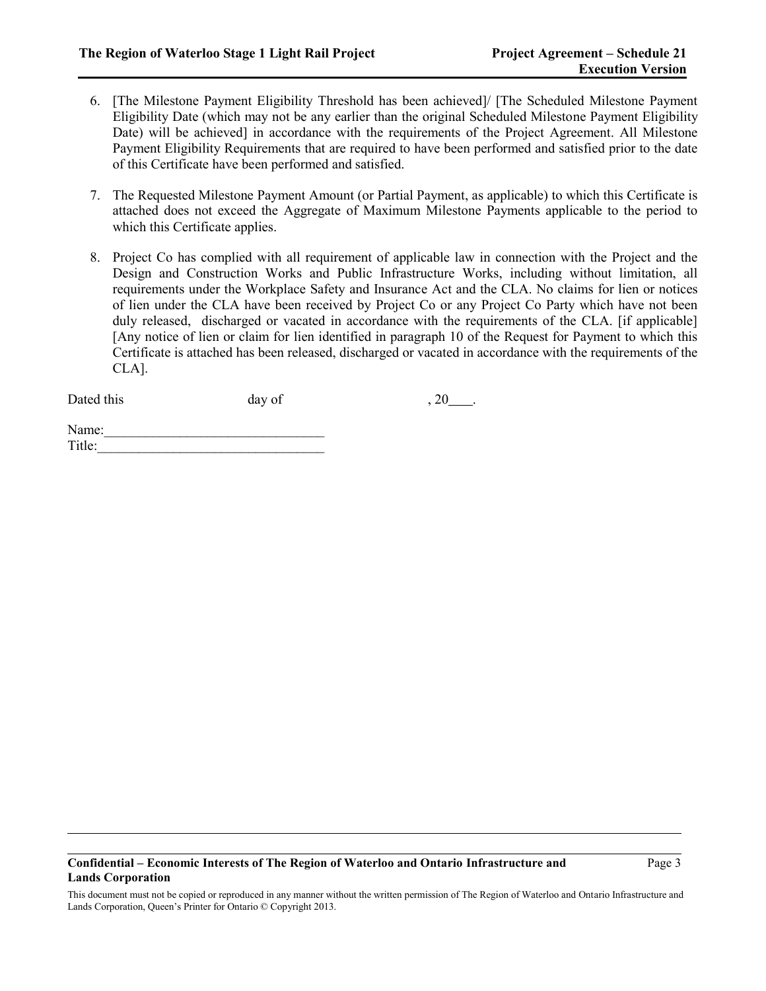- 6. [The Milestone Payment Eligibility Threshold has been achieved]/ [The Scheduled Milestone Payment Eligibility Date (which may not be any earlier than the original Scheduled Milestone Payment Eligibility Date) will be achieved] in accordance with the requirements of the Project Agreement. All Milestone Payment Eligibility Requirements that are required to have been performed and satisfied prior to the date of this Certificate have been performed and satisfied.
- 7. The Requested Milestone Payment Amount (or Partial Payment, as applicable) to which this Certificate is attached does not exceed the Aggregate of Maximum Milestone Payments applicable to the period to which this Certificate applies.
- 8. Project Co has complied with all requirement of applicable law in connection with the Project and the Design and Construction Works and Public Infrastructure Works, including without limitation, all requirements under the Workplace Safety and Insurance Act and the CLA. No claims for lien or notices of lien under the CLA have been received by Project Co or any Project Co Party which have not been duly released, discharged or vacated in accordance with the requirements of the CLA. [if applicable] [Any notice of lien or claim for lien identified in paragraph 10 of the Request for Payment to which this Certificate is attached has been released, discharged or vacated in accordance with the requirements of the CLA].

| Dated this | day of | $, 20$ . |
|------------|--------|----------|
|            |        |          |

| Name:  |  |  |  |
|--------|--|--|--|
| Title: |  |  |  |
|        |  |  |  |

This document must not be copied or reproduced in any manner without the written permission of The Region of Waterloo and Ontario Infrastructure and Lands Corporation, Queen's Printer for Ontario © Copyright 2013.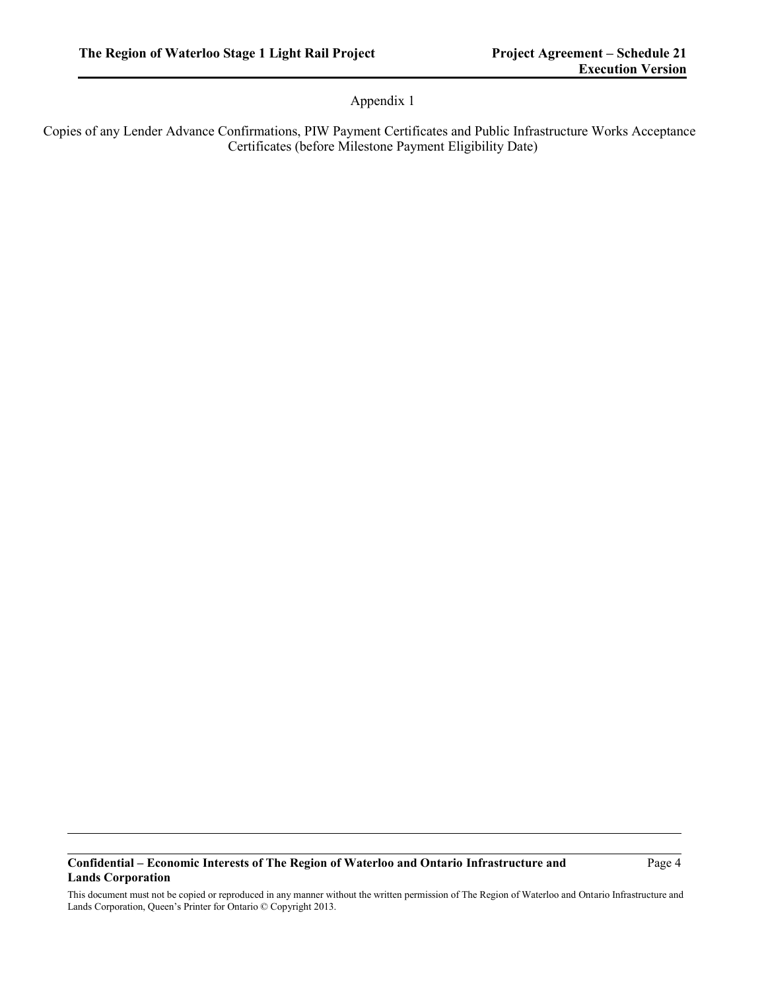## Appendix 1

Copies of any Lender Advance Confirmations, PIW Payment Certificates and Public Infrastructure Works Acceptance Certificates (before Milestone Payment Eligibility Date)

## **Confidential – Economic Interests of The Region of Waterloo and Ontario Infrastructure and Lands Corporation**

Page 4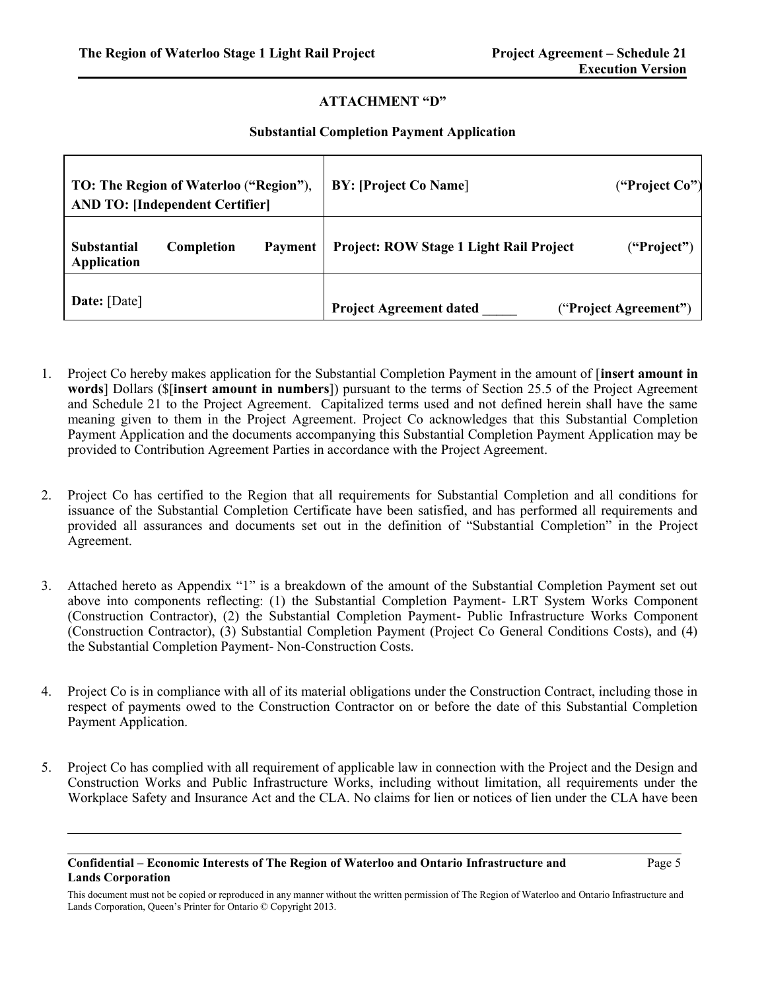## **ATTACHMENT "D"**

#### **Substantial Completion Payment Application**

|                                          | TO: The Region of Waterloo ("Region"),<br><b>AND TO: [Independent Certifier]</b> |         | <b>BY: [Project Co Name]</b>            | ("Project Co")        |
|------------------------------------------|----------------------------------------------------------------------------------|---------|-----------------------------------------|-----------------------|
| <b>Substantial</b><br><b>Application</b> | Completion                                                                       | Payment | Project: ROW Stage 1 Light Rail Project | ("Project")           |
| Date: [Date]                             |                                                                                  |         | <b>Project Agreement dated</b>          | ("Project Agreement") |

- 1. Project Co hereby makes application for the Substantial Completion Payment in the amount of [**insert amount in words**] Dollars (\$[**insert amount in numbers**]) pursuant to the terms of Section 25.5 of the Project Agreement and Schedule 21 to the Project Agreement. Capitalized terms used and not defined herein shall have the same meaning given to them in the Project Agreement. Project Co acknowledges that this Substantial Completion Payment Application and the documents accompanying this Substantial Completion Payment Application may be provided to Contribution Agreement Parties in accordance with the Project Agreement.
- 2. Project Co has certified to the Region that all requirements for Substantial Completion and all conditions for issuance of the Substantial Completion Certificate have been satisfied, and has performed all requirements and provided all assurances and documents set out in the definition of "Substantial Completion" in the Project Agreement.
- 3. Attached hereto as Appendix "1" is a breakdown of the amount of the Substantial Completion Payment set out above into components reflecting: (1) the Substantial Completion Payment- LRT System Works Component (Construction Contractor), (2) the Substantial Completion Payment- Public Infrastructure Works Component (Construction Contractor), (3) Substantial Completion Payment (Project Co General Conditions Costs), and (4) the Substantial Completion Payment- Non-Construction Costs.
- 4. Project Co is in compliance with all of its material obligations under the Construction Contract, including those in respect of payments owed to the Construction Contractor on or before the date of this Substantial Completion Payment Application.
- 5. Project Co has complied with all requirement of applicable law in connection with the Project and the Design and Construction Works and Public Infrastructure Works, including without limitation, all requirements under the Workplace Safety and Insurance Act and the CLA. No claims for lien or notices of lien under the CLA have been

#### **Confidential – Economic Interests of The Region of Waterloo and Ontario Infrastructure and Lands Corporation**

This document must not be copied or reproduced in any manner without the written permission of The Region of Waterloo and Ontario Infrastructure and Lands Corporation, Queen's Printer for Ontario © Copyright 2013.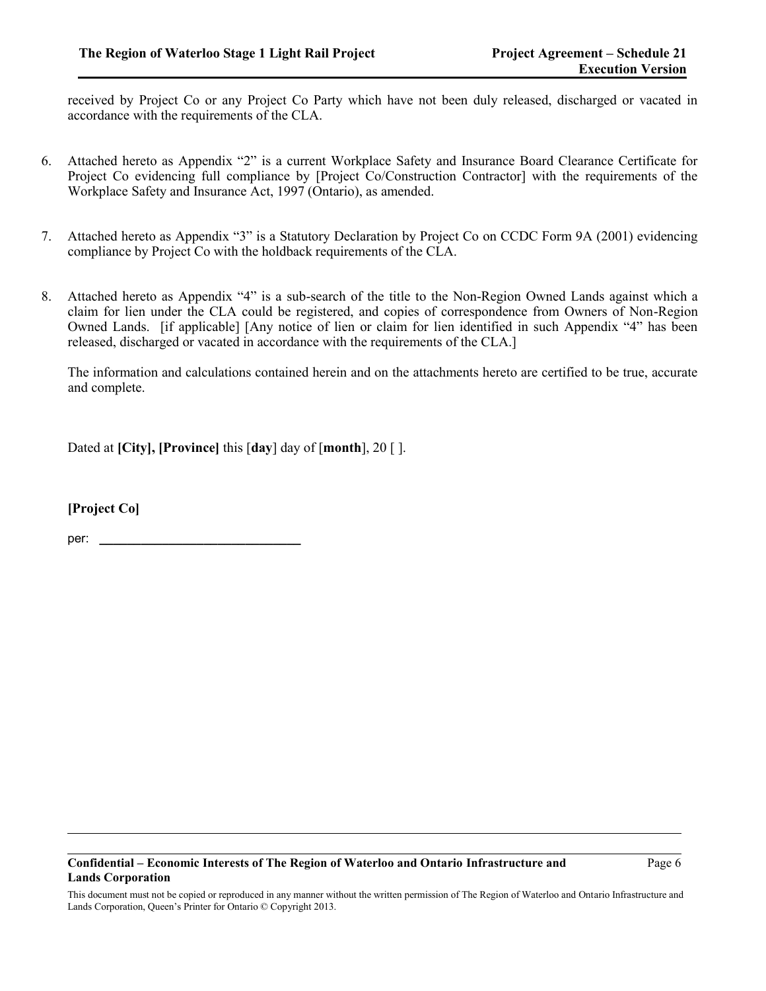received by Project Co or any Project Co Party which have not been duly released, discharged or vacated in accordance with the requirements of the CLA.

- 6. Attached hereto as Appendix "2" is a current Workplace Safety and Insurance Board Clearance Certificate for Project Co evidencing full compliance by [Project Co/Construction Contractor] with the requirements of the Workplace Safety and Insurance Act, 1997 (Ontario), as amended.
- 7. Attached hereto as Appendix "3" is a Statutory Declaration by Project Co on CCDC Form 9A (2001) evidencing compliance by Project Co with the holdback requirements of the CLA.
- 8. Attached hereto as Appendix "4" is a sub-search of the title to the Non-Region Owned Lands against which a claim for lien under the CLA could be registered, and copies of correspondence from Owners of Non-Region Owned Lands. [if applicable] [Any notice of lien or claim for lien identified in such Appendix "4" has been released, discharged or vacated in accordance with the requirements of the CLA.]

The information and calculations contained herein and on the attachments hereto are certified to be true, accurate and complete.

Dated at **[City], [Province]** this [**day**] day of [**month**], 20 [ ].

**[Project Co]**

per: **\_\_\_\_\_\_\_\_\_\_\_\_\_\_\_\_\_\_\_\_\_\_\_\_\_\_\_\_\_**

#### **Confidential – Economic Interests of The Region of Waterloo and Ontario Infrastructure and Lands Corporation**

This document must not be copied or reproduced in any manner without the written permission of The Region of Waterloo and Ontario Infrastructure and Lands Corporation, Queen's Printer for Ontario © Copyright 2013.